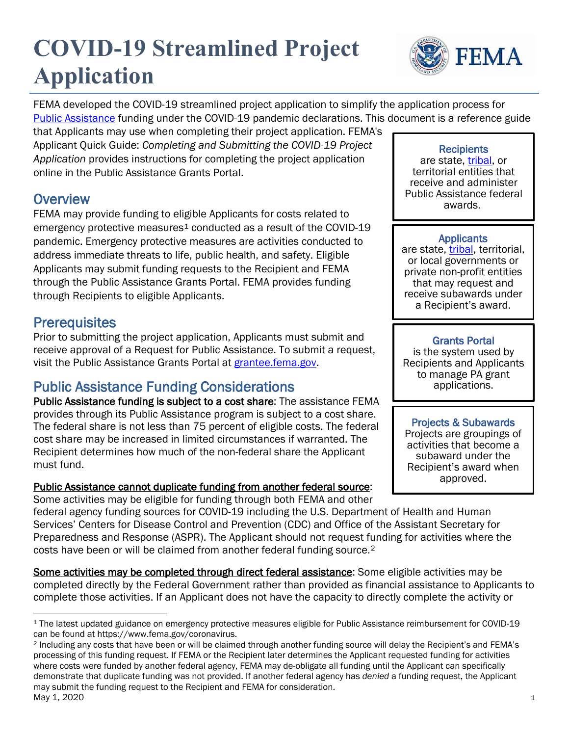# **COVID-19 Streamlined Project Application**



FEMA developed the COVID-19 streamlined project application to simplify the application process for [Public Assistance](https://www.fema.gov/public-assistance-local-state-tribal-and-non-profit) funding under the COVID-19 pandemic declarations. This document is a reference guide

that Applicants may use when completing their project application. FEMA's Applicant Quick Guide: *Completing and Submitting the COVID-19 Project Application* provides instructions for completing the project application online in the Public Assistance Grants Portal.

**Overview**<br>FEMA may provide funding to eligible Applicants for costs related to emergency protective measures<sup>[1](#page-0-0)</sup> conducted as a result of the COVID-19 pandemic. Emergency protective measures are activities conducted to address immediate threats to life, public health, and safety. Eligible Applicants may submit funding requests to the Recipient and FEMA through the Public Assistance Grants Portal. FEMA provides funding through Recipients to eligible Applicants.

**Prerequisites**<br>Prior to submitting the project application, Applicants must submit and receive approval of a Request for Public Assistance. To submit a request, visit the Public Assistance Grants Portal at [grantee.fema.gov.](https://grantee.fema.gov/)

# Public Assistance Funding Considerations<br>
Public Assistance funding is subject to a cost share: The assistance FEMA

provides through its Public Assistance program is subject to a cost share. The federal share is not less than 75 percent of eligible costs. The federal cost share may be increased in limited circumstances if warranted. The Recipient determines how much of the non-federal share the Applicant must fund.

### Public Assistance cannot duplicate funding from another federal source:

Some activities may be eligible for funding through both FEMA and other

federal agency funding sources for COVID-19 including the U.S. Department of Health and Human Services' Centers for Disease Control and Prevention (CDC) and Office of the Assistant Secretary for Preparedness and Response (ASPR). The Applicant should not request funding for activities where the costs have been or will be claimed from another federal funding source.[2](#page-0-1)

Some activities may be completed through direct federal assistance: Some eligible activities may be completed directly by the Federal Government rather than provided as financial assistance to Applicants to complete those activities. If an Applicant does not have the capacity to directly complete the activity or

**Recipients** 

are state, [tribal,](https://www.fema.gov/news-release/2020/03/26/coronavirus-covid-19-fema-assistance-tribal-governments) or territorial entities that receive and administer Public Assistance federal awards..

Applicants<br>are state, tribal, territorial, or local governments or private non-profit entities that may request and receive subawards under a Recipient's award.

### Grants Portal

is the system used by Recipients and Applicants to manage PA grant applications.

### Projects & Subawards

Projects are groupings of activities that become a subaward under the Recipient's award when approved.

<span id="page-0-0"></span><sup>1</sup> The latest updated guidance on emergency protective measures eligible for Public Assistance reimbursement for COVID-19 can be found at https://www.fema.gov/coronavirus.

<span id="page-0-1"></span>May 1, 2020 1 <sup>2</sup> Including any costs that have been or will be claimed through another funding source will delay the Recipient's and FEMA's processing of this funding request. If FEMA or the Recipient later determines the Applicant requested funding for activities where costs were funded by another federal agency, FEMA may de-obligate all funding until the Applicant can specifically demonstrate that duplicate funding was not provided. If another federal agency has *denied* a funding request, the Applicant may submit the funding request to the Recipient and FEMA for consideration.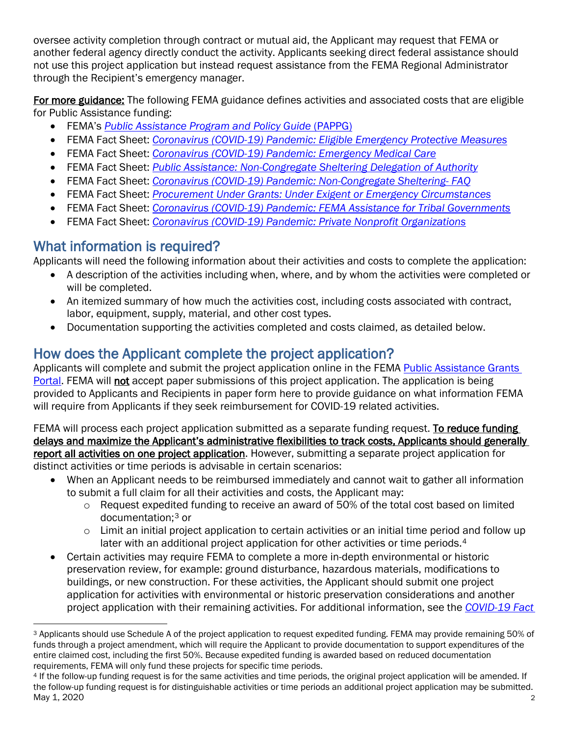oversee activity completion through contract or mutual aid, the Applicant may request that FEMA or another federal agency directly conduct the activity. Applicants seeking direct federal assistance should not use this project application but instead request assistance from the FEMA Regional Administrator through the Recipient's emergency manager.

For more guidance: The following FEMA guidance defines activities and associated costs that are eligible for Public Assistance funding:

- FEMA's *[Public Assistance Program and Policy Guide](https://www.fema.gov/media-library/assets/documents/111781)* (PAPPG)
- FEMA Fact Sheet: *[Coronavirus \(COVID-19\) Pandemic: Eligible Emergency Protective Measures](https://www.fema.gov/news-release/2020/03/19/coronavirus-covid-19-pandemic-eligible-emergency-protective-measures)*
- FEMA Fact Sheet: *[Coronavirus \(COVID-19\) Pandemic: Emergency Medical Care](https://www.fema.gov/news-release/2020/03/31/coronavirus-covid-19-pandemic-emergency-medical-care)*
- FEMA Fact Sheet: *[Public Assistance: Non-Congregate Sheltering Delegation of](https://www.fema.gov/news-release/2020/03/19/public-assistance-non-congregate-sheltering-delegation-authority) Authority*
- FEMA Fact Sheet: *[Coronavirus \(COVID-19\) Pandemic: Non-Congregate Sheltering-](https://www.fema.gov/news-release/2020/03/31/coronavirus-covid-19-pandemic-non-congregate-sheltering) FAQ*
- FEMA Fact Sheet: *[Procurement Under Grants: Under Exigent or Emergency Circumstances](https://www.fema.gov/news-release/2020/03/20/procurement-under-grants-under-exigent-or-emergency-circumstances)*
- FEMA Fact Sheet: *[Coronavirus \(COVID-19\) Pandemic: FEMA Assistance for Tribal Governments](https://www.fema.gov/news-release/2020/03/26/coronavirus-covid-19-fema-assistance-tribal-governments)*
- FEMA Fact Sheet: *[Coronavirus \(COVID-19\) Pandemic: Private Nonprofit Organizations](https://www.fema.gov/news-release/2020/04/02/coronavirus-covid19-pandemic-private-nonprofit-organizations)*

What information is required?<br>Applicants will need the following information about their activities and costs to complete the application:

- A description of the activities including when, where, and by whom the activities were completed or will be completed.
- An itemized summary of how much the activities cost, including costs associated with contract, labor, equipment, supply, material, and other cost types.
- Documentation supporting the activities completed and costs claimed, as detailed below.

How does the Applicant complete the project application?<br>Applicants will complete and submit the project application online in the FEMA Public Assistance Grants [Portal.](https://grantee.fema.gov/) FEMA will not accept paper submissions of this project application. The application is being provided to Applicants and Recipients in paper form here to provide guidance on what information FEMA will require from Applicants if they seek reimbursement for COVID-19 related activities.

FEMA will process each project application submitted as a separate funding request. To reduce funding delays and maximize the Applicant's administrative flexibilities to track costs, Applicants should generally report all activities on one project application. However, submitting a separate project application for distinct activities or time periods is advisable in certain scenarios:

- When an Applicant needs to be reimbursed immediately and cannot wait to gather all information to submit a full claim for all their activities and costs, the Applicant may:
	- $\circ$  Request expedited funding to receive an award of 50% of the total cost based on limited documentation;[3](#page-1-0) or
	- $\circ$  Limit an initial project application to certain activities or an initial time period and follow up later with an additional project application for other activities or time periods.<sup>[4](#page-1-1)</sup>
- Certain activities may require FEMA to complete a more in-depth environmental or historic preservation review, for example: ground disturbance, hazardous materials, modifications to buildings, or new construction. For these activities, the Applicant should submit one project application for activities with environmental or historic preservation considerations and another project application with their remaining activities. For additional information, see the *[COVID-19 Fact](https://www.fema.gov/news-release/2020/04/13/coronavirus-covid-19-pandemic-environmental-and-historic-preservation-and)*

<span id="page-1-0"></span><sup>3</sup> Applicants should use Schedule A of the project application to request expedited funding. FEMA may provide remaining 50% of funds through a project amendment, which will require the Applicant to provide documentation to support expenditures of the entire claimed cost, including the first 50%. Because expedited funding is awarded based on reduced documentation requirements, FEMA will only fund these projects for specific time periods.

<span id="page-1-1"></span>May 1, 2020 2 <sup>4</sup> If the follow-up funding request is for the same activities and time periods, the original project application will be amended. If the follow-up funding request is for distinguishable activities or time periods an additional project application may be submitted.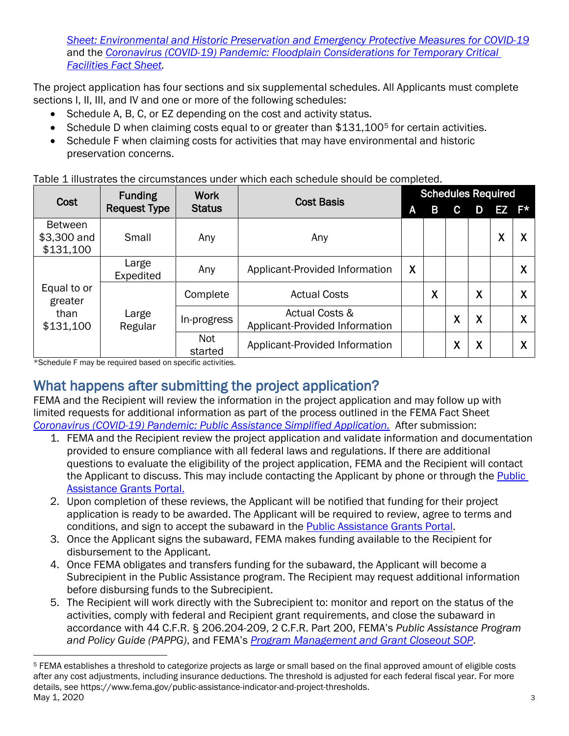*Sheet: [Environmental and Historic Preservation and Emergency Protective Measures for COVID-19](https://www.fema.gov/news-release/2020/04/13/coronavirus-covid-19-pandemic-environmental-and-historic-preservation-and)* and the *[Coronavirus \(COVID-19\) Pandemic: Floodplain Considerations for Temporary Critical](https://www.fema.gov/news-release/2020/04/13/coronavirus-covid-19-pandemic-floodplain-considerations-temporary-critical)  [Facilities Fact Sheet.](https://www.fema.gov/news-release/2020/04/13/coronavirus-covid-19-pandemic-floodplain-considerations-temporary-critical)*

The project application has four sections and six supplemental schedules. All Applicants must complete sections I, II, III, and IV and one or more of the following schedules:

- Schedule A, B, C, or EZ depending on the cost and activity status.
- Schedule D when claiming costs equal to or greater than \$131,100<sup>[5](#page-2-0)</sup> for certain activities.
- Schedule F when claiming costs for activities that may have environmental and historic preservation concerns.

Table 1 illustrates the circumstances under which each schedule should be completed.

| Cost                                       | <b>Funding</b>      | <b>Work</b>     | <b>Cost Basis</b>                                           |   | <b>Schedules Required</b> |        |                           |   |           |
|--------------------------------------------|---------------------|-----------------|-------------------------------------------------------------|---|---------------------------|--------|---------------------------|---|-----------|
|                                            | <b>Request Type</b> | <b>Status</b>   |                                                             | A | В                         | С      | D                         |   | $EZ$ $F*$ |
| <b>Between</b><br>\$3,300 and<br>\$131,100 | Small               | Any             | Any                                                         |   |                           |        |                           | X | Λ         |
|                                            | Large<br>Expedited  | Any             | Applicant-Provided Information                              | X |                           |        |                           |   | v<br>Λ    |
| Equal to or<br>greater                     |                     | Complete        | <b>Actual Costs</b>                                         |   | X                         |        | X                         |   | v<br>л    |
| than<br>\$131,100                          | Large<br>Regular    | In-progress     | <b>Actual Costs &amp;</b><br>Applicant-Provided Information |   |                           | X      | $\boldsymbol{\mathsf{X}}$ |   | v<br>Λ    |
|                                            |                     | Not.<br>started | Applicant-Provided Information                              |   |                           | v<br>Λ | X                         |   | v<br>Λ    |

\*Schedule F may be required based on specific activities.

What happens after submitting the project application?<br>FEMA and the Recipient will review the information in the project application and may follow up with limited requests for additional information as part of the process outlined in the FEMA Fact Sheet *[Coronavirus \(COVID-19\) Pandemic: Public Assistance Simplified Application.](https://www.fema.gov/news-release/2020/03/23/coronavirus-covid-19-pandemic-public-assistance-simplified-application)* After submission:

- 1. FEMA and the Recipient review the project application and validate information and documentation provided to ensure compliance with all federal laws and regulations. If there are additional questions to evaluate the eligibility of the project application, FEMA and the Recipient will contact the Applicant to discuss. This may include contacting the Applicant by phone or through the Public [Assistance Grants Portal.](https://grantee.fema.gov/)
- 2. Upon completion of these reviews, the Applicant will be notified that funding for their project application is ready to be awarded. The Applicant will be required to review, agree to terms and conditions, and sign to accept the subaward in the [Public Assistance Grants Portal.](https://grantee.fema.gov/)
- 3. Once the Applicant signs the subaward, FEMA makes funding available to the Recipient for disbursement to the Applicant.
- 4. Once FEMA obligates and transfers funding for the subaward, the Applicant will become a Subrecipient in the Public Assistance program. The Recipient may request additional information before disbursing funds to the Subrecipient.
- 5. The Recipient will work directly with the Subrecipient to: monitor and report on the status of the activities, comply with federal and Recipient grant requirements, and close the subaward in accordance with 44 C.F.R. § 206.204-209, 2 C.F.R. Part 200, FEMA's *Public Assistance Program and Policy Guide (PAPPG)*, and FEMA's *[Program Management and Grant Closeout](https://www.fema.gov/media-library-data/1386859243772-6d4e5bdf91bda11f51d3a3bd1621243b/Grant_Closeout_SOP_with_December_11_2013.pdf) SOP*.

<span id="page-2-0"></span>May 1, 2020 3 <sup>5</sup> FEMA establishes a threshold to categorize projects as large or small based on the final approved amount of eligible costs after any cost adjustments, including insurance deductions. The threshold is adjusted for each federal fiscal year. For more details, see https://www.fema.gov/public-assistance-indicator-and-project-thresholds.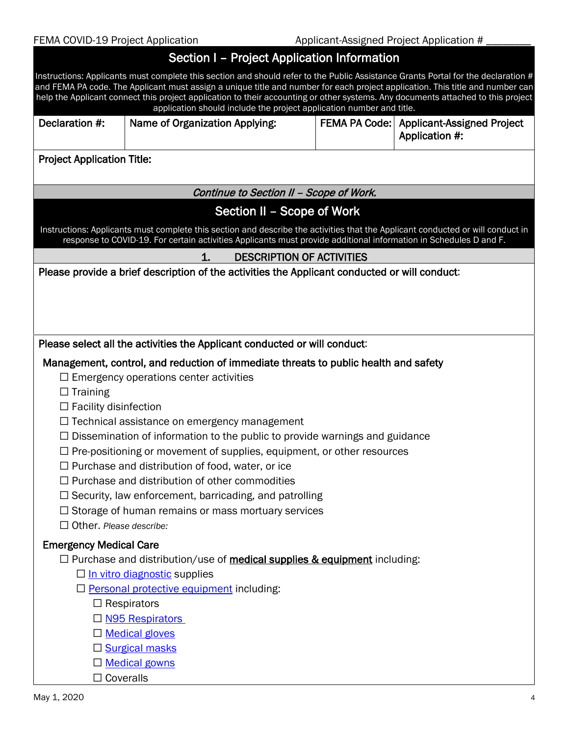# Section I – Project Application Information

|                                   | 00000111 1000001000000111110111100011                                                                                                                                                                                                                              |                                                              |
|-----------------------------------|--------------------------------------------------------------------------------------------------------------------------------------------------------------------------------------------------------------------------------------------------------------------|--------------------------------------------------------------|
|                                   | Instructions: Applicants must complete this section and should refer to the Public Assistance Grants Portal for the declaration #<br>and FEMA PA code. The Applicant must assign a unique title and number for each project application. This title and number can |                                                              |
|                                   | help the Applicant connect this project application to their accounting or other systems. Any documents attached to this project<br>application should include the project application number and title.                                                           |                                                              |
| Declaration #:                    | Name of Organization Applying:                                                                                                                                                                                                                                     | FEMA PA Code:   Applicant-Assigned Project<br>Application #: |
| <b>Project Application Title:</b> |                                                                                                                                                                                                                                                                    |                                                              |
|                                   | Continue to Section II - Scope of Work.                                                                                                                                                                                                                            |                                                              |
|                                   | Section II – Scope of Work                                                                                                                                                                                                                                         |                                                              |
|                                   | Instructions: Applicants must complete this section and describe the activities that the Applicant conducted or will conduct in<br>response to COVID-19. For certain activities Applicants must provide additional information in Schedules D and F.               |                                                              |
|                                   | <b>DESCRIPTION OF ACTIVITIES</b><br>1.                                                                                                                                                                                                                             |                                                              |
|                                   | Please provide a brief description of the activities the Applicant conducted or will conduct:                                                                                                                                                                      |                                                              |
|                                   |                                                                                                                                                                                                                                                                    |                                                              |
|                                   |                                                                                                                                                                                                                                                                    |                                                              |
|                                   |                                                                                                                                                                                                                                                                    |                                                              |
|                                   | Please select all the activities the Applicant conducted or will conduct:                                                                                                                                                                                          |                                                              |
| $\Box$ Training                   | Management, control, and reduction of immediate threats to public health and safety<br>$\Box$ Emergency operations center activities                                                                                                                               |                                                              |
| $\Box$ Facility disinfection      |                                                                                                                                                                                                                                                                    |                                                              |
|                                   | $\Box$ Technical assistance on emergency management<br>$\Box$ Dissemination of information to the public to provide warnings and guidance                                                                                                                          |                                                              |
|                                   | $\Box$ Pre-positioning or movement of supplies, equipment, or other resources                                                                                                                                                                                      |                                                              |
|                                   | $\Box$ Purchase and distribution of food, water, or ice                                                                                                                                                                                                            |                                                              |
|                                   | Purchase and distribution of other commodities                                                                                                                                                                                                                     |                                                              |
|                                   | $\Box$ Security, law enforcement, barricading, and patrolling                                                                                                                                                                                                      |                                                              |
|                                   | $\Box$ Storage of human remains or mass mortuary services                                                                                                                                                                                                          |                                                              |
| $\Box$ Other. Please describe:    |                                                                                                                                                                                                                                                                    |                                                              |
| <b>Emergency Medical Care</b>     |                                                                                                                                                                                                                                                                    |                                                              |
|                                   | $\Box$ Purchase and distribution/use of <b>medical supplies &amp; equipment</b> including:                                                                                                                                                                         |                                                              |
|                                   | $\Box$ In vitro diagnostic supplies<br>$\Box$ Personal protective equipment including:                                                                                                                                                                             |                                                              |
|                                   | $\Box$ Respirators                                                                                                                                                                                                                                                 |                                                              |
|                                   | □ N95 Respirators                                                                                                                                                                                                                                                  |                                                              |
|                                   | □ Medical gloves                                                                                                                                                                                                                                                   |                                                              |
|                                   | □ Surgical masks                                                                                                                                                                                                                                                   |                                                              |
|                                   | □ Medical gowns                                                                                                                                                                                                                                                    |                                                              |
| $\Box$ Coveralls                  |                                                                                                                                                                                                                                                                    |                                                              |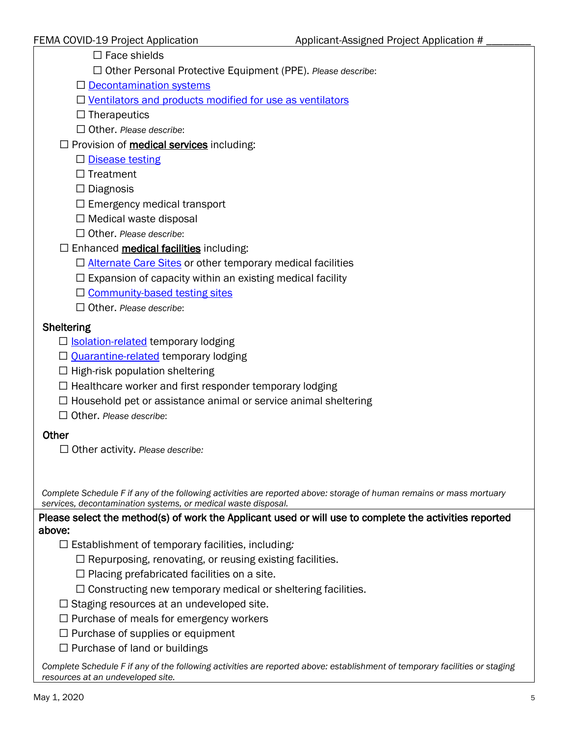$\Box$  Face shields

☐ Other Personal Protective Equipment (PPE). *Please describe*:

 $\Box$  [Decontamination systems](https://www.fda.gov/media/136530/download)

☐ [Ventilators and products modified for use as ventilators](https://www.fda.gov/media/136424/download)

 $\Box$  Therapeutics

☐ Other. *Please describe*:

 $\Box$  Provision of **medical services** including:

□ [Disease testing](https://www.fda.gov/regulatory-information/search-fda-guidance-documents/policy-diagnostic-tests-coronavirus-disease-2019-during-public-health-emergency)

□ Treatment

☐ Diagnosis

- $\Box$  Emergency medical transport
- ☐ Medical waste disposal
- ☐ Other. *Please describe*:
- $\Box$  Enhanced medical facilities including:
	- □ [Alternate Care Sites](https://www.cdc.gov/coronavirus/2019-ncov/hcp/alternative-care-sites.html) or other temporary medical facilities
	- $\Box$  Expansion of capacity within an existing medical facility
	- □ [Community-based testing sites](https://asprtracie.hhs.gov/technical-resources/117/covid-19-drive-through-testing-community-screening-resources/99)
	- ☐ Other. *Please describe*:

#### **Sheltering**

- □ **[Isolation-related](https://www.cdc.gov/quarantine/)** temporary lodging
- $\Box$  [Quarantine-related](https://www.cdc.gov/quarantine/) temporary lodging
- $\Box$  High-risk population sheltering
- $\Box$  Healthcare worker and first responder temporary lodging
- $\Box$  Household pet or assistance animal or service animal sheltering
- ☐ Other. *Please describe*:

### **Other**

☐ Other activity. *Please describe:*

*Complete Schedule F if any of the following activities are reported above: storage of human remains or mass mortuary services, decontamination systems, or medical waste disposal.*

Please select the method(s) of work the Applicant used or will use to complete the activities reported above:

- ☐ Establishment of temporary facilities, including*:*
	- $\Box$  Repurposing, renovating, or reusing existing facilities.
	- $\Box$  Placing prefabricated facilities on a site.
	- $\Box$  Constructing new temporary medical or sheltering facilities.
- $\Box$  Staging resources at an undeveloped site.
- $\Box$  Purchase of meals for emergency workers
- □ Purchase of supplies or equipment
- □ Purchase of land or buildings

*Complete Schedule F if any of the following activities are reported above: establishment of temporary facilities or staging resources at an undeveloped site.*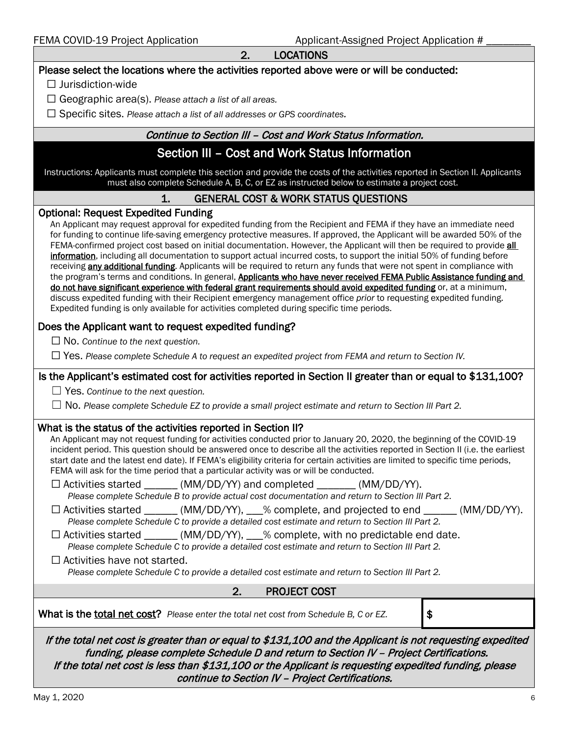|--|

| 2.<br><b>LOCATIONS</b> |  |
|------------------------|--|
|------------------------|--|

| Please select the locations where the activities reported above were or will be conducted:                                                                                                                                                                                                                                                                                                                                                                                                                                                                                                                                                                                                                                                                                                                                                                                                                                                                                                                                                                                                                                                                                                                                                                                                          |    |  |  |  |
|-----------------------------------------------------------------------------------------------------------------------------------------------------------------------------------------------------------------------------------------------------------------------------------------------------------------------------------------------------------------------------------------------------------------------------------------------------------------------------------------------------------------------------------------------------------------------------------------------------------------------------------------------------------------------------------------------------------------------------------------------------------------------------------------------------------------------------------------------------------------------------------------------------------------------------------------------------------------------------------------------------------------------------------------------------------------------------------------------------------------------------------------------------------------------------------------------------------------------------------------------------------------------------------------------------|----|--|--|--|
| $\Box$ Jurisdiction-wide                                                                                                                                                                                                                                                                                                                                                                                                                                                                                                                                                                                                                                                                                                                                                                                                                                                                                                                                                                                                                                                                                                                                                                                                                                                                            |    |  |  |  |
| $\Box$ Geographic area(s). Please attach a list of all areas.                                                                                                                                                                                                                                                                                                                                                                                                                                                                                                                                                                                                                                                                                                                                                                                                                                                                                                                                                                                                                                                                                                                                                                                                                                       |    |  |  |  |
| $\Box$ Specific sites. Please attach a list of all addresses or GPS coordinates.                                                                                                                                                                                                                                                                                                                                                                                                                                                                                                                                                                                                                                                                                                                                                                                                                                                                                                                                                                                                                                                                                                                                                                                                                    |    |  |  |  |
| Continue to Section III - Cost and Work Status Information.                                                                                                                                                                                                                                                                                                                                                                                                                                                                                                                                                                                                                                                                                                                                                                                                                                                                                                                                                                                                                                                                                                                                                                                                                                         |    |  |  |  |
| Section III - Cost and Work Status Information                                                                                                                                                                                                                                                                                                                                                                                                                                                                                                                                                                                                                                                                                                                                                                                                                                                                                                                                                                                                                                                                                                                                                                                                                                                      |    |  |  |  |
| Instructions: Applicants must complete this section and provide the costs of the activities reported in Section II. Applicants<br>must also complete Schedule A, B, C, or EZ as instructed below to estimate a project cost.                                                                                                                                                                                                                                                                                                                                                                                                                                                                                                                                                                                                                                                                                                                                                                                                                                                                                                                                                                                                                                                                        |    |  |  |  |
| 1.<br><b>GENERAL COST &amp; WORK STATUS QUESTIONS</b>                                                                                                                                                                                                                                                                                                                                                                                                                                                                                                                                                                                                                                                                                                                                                                                                                                                                                                                                                                                                                                                                                                                                                                                                                                               |    |  |  |  |
| <b>Optional: Request Expedited Funding</b><br>An Applicant may request approval for expedited funding from the Recipient and FEMA if they have an immediate need<br>for funding to continue life-saving emergency protective measures. If approved, the Applicant will be awarded 50% of the<br>FEMA-confirmed project cost based on initial documentation. However, the Applicant will then be required to provide all<br>information, including all documentation to support actual incurred costs, to support the initial 50% of funding before<br>receiving any additional funding. Applicants will be required to return any funds that were not spent in compliance with<br>the program's terms and conditions. In general, Applicants who have never received FEMA Public Assistance funding and<br>do not have significant experience with federal grant requirements should avoid expedited funding or, at a minimum,<br>discuss expedited funding with their Recipient emergency management office prior to requesting expedited funding.<br>Expedited funding is only available for activities completed during specific time periods.                                                                                                                                                   |    |  |  |  |
| Does the Applicant want to request expedited funding?                                                                                                                                                                                                                                                                                                                                                                                                                                                                                                                                                                                                                                                                                                                                                                                                                                                                                                                                                                                                                                                                                                                                                                                                                                               |    |  |  |  |
| $\Box$ No. Continue to the next question.                                                                                                                                                                                                                                                                                                                                                                                                                                                                                                                                                                                                                                                                                                                                                                                                                                                                                                                                                                                                                                                                                                                                                                                                                                                           |    |  |  |  |
| $\Box$ Yes. Please complete Schedule A to request an expedited project from FEMA and return to Section IV.                                                                                                                                                                                                                                                                                                                                                                                                                                                                                                                                                                                                                                                                                                                                                                                                                                                                                                                                                                                                                                                                                                                                                                                          |    |  |  |  |
| Is the Applicant's estimated cost for activities reported in Section II greater than or equal to \$131,100?                                                                                                                                                                                                                                                                                                                                                                                                                                                                                                                                                                                                                                                                                                                                                                                                                                                                                                                                                                                                                                                                                                                                                                                         |    |  |  |  |
| $\Box$ Yes. Continue to the next question.                                                                                                                                                                                                                                                                                                                                                                                                                                                                                                                                                                                                                                                                                                                                                                                                                                                                                                                                                                                                                                                                                                                                                                                                                                                          |    |  |  |  |
| No. Please complete Schedule EZ to provide a small project estimate and return to Section III Part 2.                                                                                                                                                                                                                                                                                                                                                                                                                                                                                                                                                                                                                                                                                                                                                                                                                                                                                                                                                                                                                                                                                                                                                                                               |    |  |  |  |
| What is the status of the activities reported in Section II?<br>An Applicant may not request funding for activities conducted prior to January 20, 2020, the beginning of the COVID-19<br>incident period. This question should be answered once to describe all the activities reported in Section II (i.e. the earliest<br>start date and the latest end date). If FEMA's eligibility criteria for certain activities are limited to specific time periods,<br>FEMA will ask for the time period that a particular activity was or will be conducted.<br>$\Box$ Activities started ______ (MM/DD/YY) and completed ______ (MM/DD/YY).<br>Please complete Schedule B to provide actual cost documentation and return to Section III Part 2.<br>$\Box$ Activities started ______ (MM/DD/YY), ___% complete, and projected to end _____ (MM/DD/YY).<br>Please complete Schedule C to provide a detailed cost estimate and return to Section III Part 2.<br>$\Box$ Activities started _______ (MM/DD/YY), ___% complete, with no predictable end date.<br>Please complete Schedule C to provide a detailed cost estimate and return to Section III Part 2.<br>$\Box$ Activities have not started.<br>Please complete Schedule C to provide a detailed cost estimate and return to Section III Part 2. |    |  |  |  |
| 2.<br><b>PROJECT COST</b>                                                                                                                                                                                                                                                                                                                                                                                                                                                                                                                                                                                                                                                                                                                                                                                                                                                                                                                                                                                                                                                                                                                                                                                                                                                                           |    |  |  |  |
| What is the total net cost? Please enter the total net cost from Schedule B, C or EZ.                                                                                                                                                                                                                                                                                                                                                                                                                                                                                                                                                                                                                                                                                                                                                                                                                                                                                                                                                                                                                                                                                                                                                                                                               | \$ |  |  |  |
| If the total net cost is greater than or equal to \$131,100 and the Applicant is not requesting expedited<br>funding, please complete Schedule D and return to Section IV - Project Certifications.<br>If the total net cost is less than \$131,100 or the Applicant is requesting expedited funding, please<br>continue to Section IV - Project Certifications.                                                                                                                                                                                                                                                                                                                                                                                                                                                                                                                                                                                                                                                                                                                                                                                                                                                                                                                                    |    |  |  |  |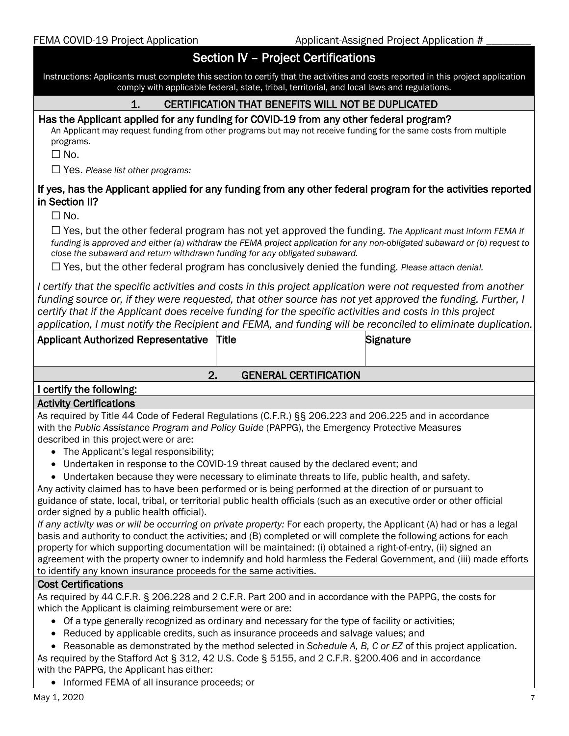### Section IV – Project Certifications

Instructions: Applicants must complete this section to certify that the activities and costs reported in this project application comply with applicable federal, state, tribal, territorial, and local laws and regulations.

#### 1. CERTIFICATION THAT BENEFITS WILL NOT BE DUPLICATED

Has the Applicant applied for any funding for COVID-19 from any other federal program?<br>An Applicant may request funding from other programs but may not receive funding for the same costs from multiple programs.

☐ No.

☐ Yes. *Please list other programs:*

#### If yes, has the Applicant applied for any funding from any other federal program for the activities reported in Section II?

☐ No.

☐ Yes, but the other federal program has not yet approved the funding. *The Applicant must inform FEMA if funding is approved and either (a) withdraw the FEMA project application for any non-obligated subaward or (b) request to close the subaward and return withdrawn funding for any obligated subaward.*

☐ Yes, but the other federal program has conclusively denied the funding. *Please attach denial.*

*I certify that the specific activities and costs in this project application were not requested from another funding source or, if they were requested, that other source has not yet approved the funding. Further, I certify that if the Applicant does receive funding for the specific activities and costs in this project application, I must notify the Recipient and FEMA, and funding will be reconciled to eliminate duplication.*

| <b>Applicant Authorized Representative Title</b> |                              | Signature |
|--------------------------------------------------|------------------------------|-----------|
|                                                  |                              |           |
| 2.                                               | <b>GENERAL CERTIFICATION</b> |           |
| I certify the following:                         |                              |           |

#### Activity Certifications

As required by Title 44 Code of Federal Regulations (C.F.R.) §§ 206.223 and 206.225 and in accordance with the *Public Assistance Program and Policy Guide* (PAPPG), the Emergency Protective Measures described in this projectwere or are:

- The Applicant's legal responsibility;
- Undertaken in response to the COVID-19 threat caused by the declared event; and
- Undertaken because they were necessary to eliminate threats to life, public health, and safety.

Any activity claimed has to have been performed or is being performed at the direction of or pursuant to guidance of state, local, tribal, or territorial public health officials (such as an executive order or other official order signed by a public health official).

*If any activity was or will be occurring on private property:* For each property, the Applicant (A) had or has a legal basis and authority to conduct the activities; and (B) completed or will complete the following actions for each property for which supporting documentation will be maintained: (i) obtained a right-of-entry, (ii) signed an agreement with the property owner to indemnify and hold harmless the Federal Government, and (iii) made efforts to identify any known insurance proceeds for the same activities.

#### Cost Certifications

As required by 44 C.F.R. § 206.228 and 2 C.F.R. Part 200 and in accordance with the PAPPG, the costs for which the Applicant is claiming reimbursement were or are:

- Of a type generally recognized as ordinary and necessary for the type of facility or activities;
- Reduced by applicable credits, such as insurance proceeds and salvage values; and
- Reasonable as demonstrated by the method selected in *Schedule A, B, C or EZ* of this project application.

As required by the Stafford Act § 312, 42 U.S. Code § 5155, and 2 C.F.R. §200.406 and in accordance with the PAPPG, the Applicant has either:

• Informed FEMA of all insurance proceeds; or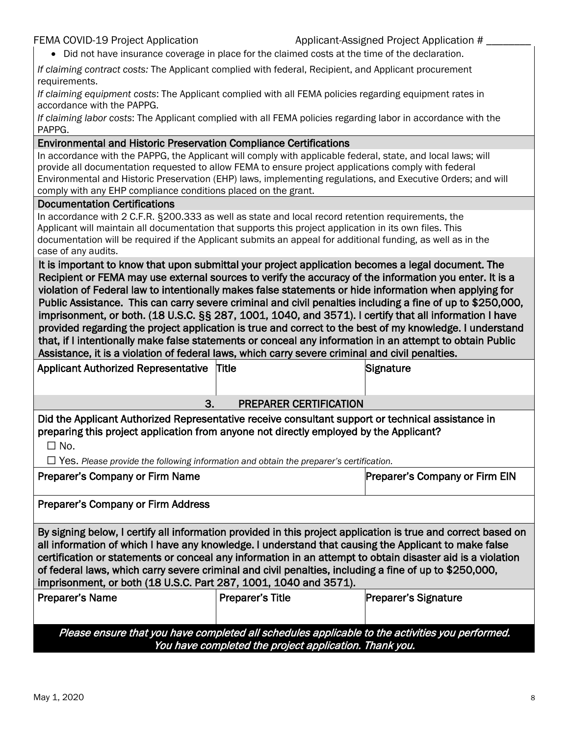Applicant-Assigned Project Application  $#$ 

• Did not have insurance coverage in place for the claimed costs at the time of the declaration.

*If claiming contract costs:* The Applicant complied with federal, Recipient, and Applicant procurement requirements.

*If claiming equipment costs*: The Applicant complied with all FEMA policies regarding equipment rates in accordance with the PAPPG.

*If claiming labor costs*: The Applicant complied with all FEMA policies regarding labor in accordance with the PAPPG.

#### Environmental and Historic Preservation Compliance Certifications

In accordance with the PAPPG, the Applicant will comply with applicable federal, state, and local laws; will provide all documentation requested to allow FEMA to ensure project applications comply with federal Environmental and Historic Preservation (EHP) laws, implementing regulations, and Executive Orders; and will comply with any EHP compliance conditions placed on the grant.

#### Documentation Certifications

In accordance with 2 C.F.R. §200.333 as well as state and local record retention requirements, the Applicant will maintain all documentation that supports this project application in its own files. This documentation will be required if the Applicant submits an appeal for additional funding, as well as in the case of any audits.

It is important to know that upon submittal your project application becomes a legal document. The Recipient or FEMA may use external sources to verify the accuracy of the information you enter. It is a violation of Federal law to intentionally makes false statements or hide information when applying for Public Assistance. This can carry severe criminal and civil penalties including a fine of up to \$250,000, imprisonment, or both. (18 U.S.C. §§ 287, 1001, 1040, and 3571). I certify that all information I have provided regarding the project application is true and correct to the best of my knowledge. I understand that, if I intentionally make false statements or conceal any information in an attempt to obtain Public Assistance, it is a violation of federal laws, which carry severe criminal and civil penalties.

| <b>Applicant Authorized Representative</b>                                                                                                                                                                                                                                                                                                                                                                                                                                                                        | <b>Title</b>                  | Signature                             |  |  |
|-------------------------------------------------------------------------------------------------------------------------------------------------------------------------------------------------------------------------------------------------------------------------------------------------------------------------------------------------------------------------------------------------------------------------------------------------------------------------------------------------------------------|-------------------------------|---------------------------------------|--|--|
| 3.                                                                                                                                                                                                                                                                                                                                                                                                                                                                                                                | <b>PREPARER CERTIFICATION</b> |                                       |  |  |
| Did the Applicant Authorized Representative receive consultant support or technical assistance in<br>preparing this project application from anyone not directly employed by the Applicant?<br>$\Box$ No.<br>$\Box$ Yes. Please provide the following information and obtain the preparer's certification.                                                                                                                                                                                                        |                               |                                       |  |  |
| Preparer's Company or Firm Name                                                                                                                                                                                                                                                                                                                                                                                                                                                                                   |                               | <b>Preparer's Company or Firm EIN</b> |  |  |
| <b>Preparer's Company or Firm Address</b>                                                                                                                                                                                                                                                                                                                                                                                                                                                                         |                               |                                       |  |  |
| By signing below, I certify all information provided in this project application is true and correct based on<br>all information of which I have any knowledge. I understand that causing the Applicant to make false<br>certification or statements or conceal any information in an attempt to obtain disaster aid is a violation<br>of federal laws, which carry severe criminal and civil penalties, including a fine of up to \$250,000,<br>imprisonment, or both (18 U.S.C. Part 287, 1001, 1040 and 3571). |                               |                                       |  |  |
| <b>Preparer's Name</b>                                                                                                                                                                                                                                                                                                                                                                                                                                                                                            | <b>Preparer's Title</b>       | <b>Preparer's Signature</b>           |  |  |
| Please ensure that you have completed all schedules applicable to the activities you performed.                                                                                                                                                                                                                                                                                                                                                                                                                   |                               |                                       |  |  |

You have completed the project application. Thank you.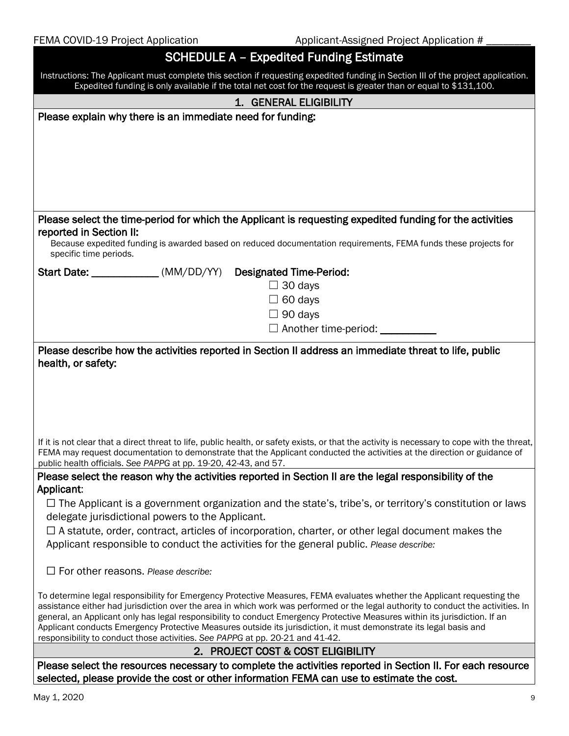| FEMA COVID-19 Project Application                                                                                                                | Applicant-Assigned Project Application #                                                                                                                                                                                                                      |  |  |
|--------------------------------------------------------------------------------------------------------------------------------------------------|---------------------------------------------------------------------------------------------------------------------------------------------------------------------------------------------------------------------------------------------------------------|--|--|
|                                                                                                                                                  | <b>SCHEDULE A - Expedited Funding Estimate</b>                                                                                                                                                                                                                |  |  |
|                                                                                                                                                  | Instructions: The Applicant must complete this section if requesting expedited funding in Section III of the project application.                                                                                                                             |  |  |
|                                                                                                                                                  | Expedited funding is only available if the total net cost for the request is greater than or equal to \$131,100.                                                                                                                                              |  |  |
|                                                                                                                                                  | 1. GENERAL ELIGIBILITY                                                                                                                                                                                                                                        |  |  |
| Please explain why there is an immediate need for funding:                                                                                       |                                                                                                                                                                                                                                                               |  |  |
|                                                                                                                                                  |                                                                                                                                                                                                                                                               |  |  |
|                                                                                                                                                  |                                                                                                                                                                                                                                                               |  |  |
|                                                                                                                                                  |                                                                                                                                                                                                                                                               |  |  |
|                                                                                                                                                  |                                                                                                                                                                                                                                                               |  |  |
|                                                                                                                                                  |                                                                                                                                                                                                                                                               |  |  |
|                                                                                                                                                  | Please select the time-period for which the Applicant is requesting expedited funding for the activities                                                                                                                                                      |  |  |
| reported in Section II:                                                                                                                          |                                                                                                                                                                                                                                                               |  |  |
| specific time periods.                                                                                                                           | Because expedited funding is awarded based on reduced documentation requirements, FEMA funds these projects for                                                                                                                                               |  |  |
| Start Date: _____________(MM/DD/YY) Designated Time-Period:                                                                                      |                                                                                                                                                                                                                                                               |  |  |
|                                                                                                                                                  | $\Box$ 30 days                                                                                                                                                                                                                                                |  |  |
|                                                                                                                                                  | $\Box$ 60 days                                                                                                                                                                                                                                                |  |  |
|                                                                                                                                                  | $\Box$ 90 days                                                                                                                                                                                                                                                |  |  |
|                                                                                                                                                  | □ Another time-period: __________                                                                                                                                                                                                                             |  |  |
|                                                                                                                                                  |                                                                                                                                                                                                                                                               |  |  |
|                                                                                                                                                  | Please describe how the activities reported in Section II address an immediate threat to life, public                                                                                                                                                         |  |  |
| health, or safety:                                                                                                                               |                                                                                                                                                                                                                                                               |  |  |
|                                                                                                                                                  |                                                                                                                                                                                                                                                               |  |  |
|                                                                                                                                                  |                                                                                                                                                                                                                                                               |  |  |
|                                                                                                                                                  |                                                                                                                                                                                                                                                               |  |  |
|                                                                                                                                                  |                                                                                                                                                                                                                                                               |  |  |
|                                                                                                                                                  | If it is not clear that a direct threat to life, public health, or safety exists, or that the activity is necessary to cope with the threat,                                                                                                                  |  |  |
|                                                                                                                                                  | FEMA may request documentation to demonstrate that the Applicant conducted the activities at the direction or guidance of                                                                                                                                     |  |  |
| public health officials. See PAPPG at pp. 19-20, 42-43, and 57.                                                                                  | Please select the reason why the activities reported in Section II are the legal responsibility of the                                                                                                                                                        |  |  |
| Applicant:                                                                                                                                       |                                                                                                                                                                                                                                                               |  |  |
|                                                                                                                                                  | $\Box$ The Applicant is a government organization and the state's, tribe's, or territory's constitution or laws                                                                                                                                               |  |  |
| delegate jurisdictional powers to the Applicant.                                                                                                 |                                                                                                                                                                                                                                                               |  |  |
|                                                                                                                                                  | $\Box$ A statute, order, contract, articles of incorporation, charter, or other legal document makes the                                                                                                                                                      |  |  |
|                                                                                                                                                  | Applicant responsible to conduct the activities for the general public. Please describe:                                                                                                                                                                      |  |  |
|                                                                                                                                                  |                                                                                                                                                                                                                                                               |  |  |
| $\Box$ For other reasons. Please describe:                                                                                                       |                                                                                                                                                                                                                                                               |  |  |
|                                                                                                                                                  |                                                                                                                                                                                                                                                               |  |  |
|                                                                                                                                                  | To determine legal responsibility for Emergency Protective Measures, FEMA evaluates whether the Applicant requesting the<br>assistance either had jurisdiction over the area in which work was performed or the legal authority to conduct the activities. In |  |  |
|                                                                                                                                                  | general, an Applicant only has legal responsibility to conduct Emergency Protective Measures within its jurisdiction. If an                                                                                                                                   |  |  |
|                                                                                                                                                  | Applicant conducts Emergency Protective Measures outside its jurisdiction, it must demonstrate its legal basis and                                                                                                                                            |  |  |
| responsibility to conduct those activities. See PAPPG at pp. 20-21 and 41-42.                                                                    |                                                                                                                                                                                                                                                               |  |  |
| 2. PROJECT COST & COST ELIGIBILITY<br>Please select the resources necessary to complete the activities reported in Section II. For each resource |                                                                                                                                                                                                                                                               |  |  |
|                                                                                                                                                  | selected, please provide the cost or other information FEMA can use to estimate the cost.                                                                                                                                                                     |  |  |
|                                                                                                                                                  |                                                                                                                                                                                                                                                               |  |  |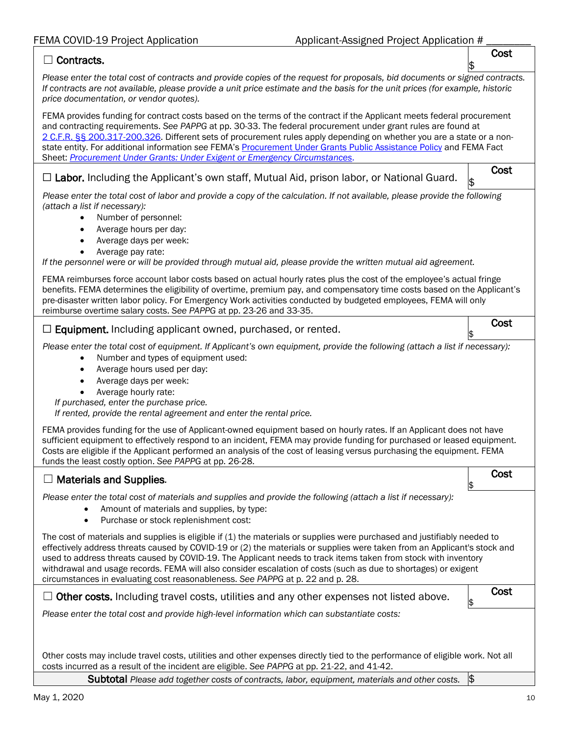#### ☐ Contracts.

\$ *Please enter the total cost of contracts and provide copies of the request for proposals, bid documents or signed contracts. If contracts are not available, please provide a unit price estimate and the basis for the unit prices (for example, historic price documentation, or vendor quotes).*

FEMA provides funding for contract costs based on the terms of the contract if the Applicant meets federal procurement and contracting requirements. *See PAPPG* at pp. 30-33. The federal procurement under grant rules are found at 2 C.F.R. §§ [200.317-200.326.](https://www.ecfr.gov/cgi-bin/text-idx?SID=8fa2890df66fb12d1701cb29979f6231&mc=true&node=sg2.1.200_1316.sg3&rgn=div7) Different sets of procurement rules apply depending on whether you are a state or a nonstate entity. For additional information *see* FEMA's [Procurement Under Grants Public Assistance Policy](https://www.fema.gov/media-library/assets/documents/96773V2) and FEMA Fact Sheet: *[Procurement Under Grants: Under Exigent or Emergency Circumstances](https://www.fema.gov/news-release/2020/03/20/procurement-under-grants-under-exigent-or-emergency-circumstances)*.

# □ Labor. Including the Applicant's own staff, Mutual Aid, prison labor, or National Guard.  $\begin{bmatrix} \cdot & \cdot & \cdot \\ \cdot & \cdot & \cdot \\ \cdot & \cdot & \cdot & \cdot \end{bmatrix}$

Cost

\$ *Please enter the total cost of labor and provide a copy of the calculation. If not available, please provide the following (attach a list if necessary):*

- Number of personnel:
- Average hours per day:
- Average days per week:
- Average pay rate:

*If the personnel were or will be provided through mutual aid, please provide the written mutual aid agreement.*

| FEMA reimburses force account labor costs based on actual hourly rates plus the cost of the employee's actual fringe     |
|--------------------------------------------------------------------------------------------------------------------------|
| benefits. FEMA determines the eligibility of overtime, premium pay, and compensatory time costs based on the Applicant's |
| pre-disaster written labor policy. For Emergency Work activities conducted by budgeted employees, FEMA will only         |
| reimburse overtime salary costs. See PAPPG at pp. 23-26 and 33-35.                                                       |

 $\Box$  Equipment. Including applicant owned, purchased, or rented.

*Please enter the total cost of equipment. If Applicant's own equipment, provide the following (attach a list if necessary):*

- Number and types of equipment used:
- Average hours used per day:
- Average days per week:
- Average hourly rate:

*If purchased, enter the purchase price.*

*If rented, provide the rental agreement and enter the rental price.*

FEMA provides funding for the use of Applicant-owned equipment based on hourly rates. If an Applicant does not have sufficient equipment to effectively respond to an incident, FEMA may provide funding for purchased or leased equipment. Costs are eligible if the Applicant performed an analysis of the cost of leasing versus purchasing the equipment. FEMA funds the least costly option. *See PAPPG* at pp. 26-28.

# $\Box$  Materials and Supplies.  $\Box$ *Please enter the total cost of materials and supplies and provide the following (attach a list if necessary):*  • Amount of materials and supplies, by type: • Purchase or stock replenishment cost: The cost of materials and supplies is eligible if (1) the materials or supplies were purchased and justifiably needed to effectively address threats caused by COVID-19 or (2) the materials or supplies were taken from an Applicant's stock and used to address threats caused by COVID-19. The Applicant needs to track items taken from stock with inventory withdrawal and usage records. FEMA will also consider escalation of costs (such as due to shortages) or exigent circumstances in evaluating cost reasonableness. *See PAPPG* at p. 22 and p. 28.  $\Box$  Other costs. Including travel costs, utilities and any other expenses not listed above.  $\Box$  Cost *Please enter the total cost and provide high-level information which can substantiate costs:* Other costs may include travel costs, utilities and other expenses directly tied to the performance of eligible work. Not all costs incurred as a result of the incident are eligible. *See PAPPG* at pp. 21-22, and 41-42.

Subtotal *Please add together costs of contracts, labor, equipment, materials and other costs.* \$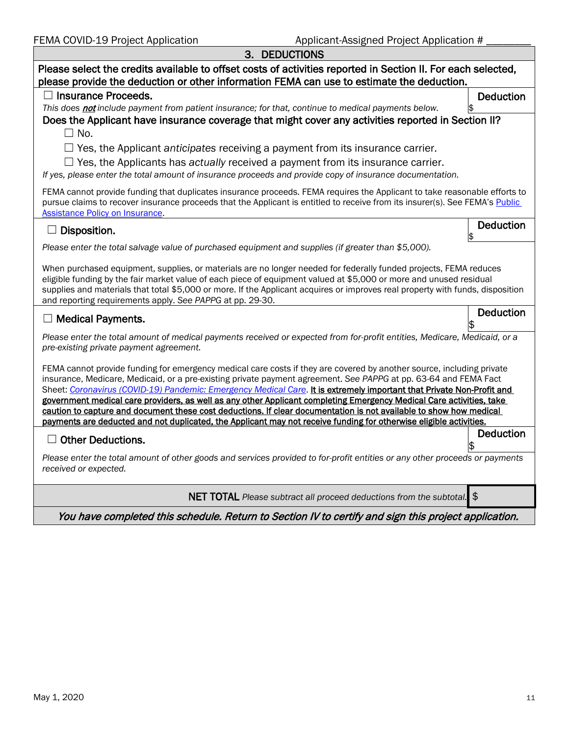| May 1, 2020 | 11 |
|-------------|----|
|-------------|----|

| או ∟                                                                                                                                                                                                                                                                                                                                                                                                                                                                                       |                  |
|--------------------------------------------------------------------------------------------------------------------------------------------------------------------------------------------------------------------------------------------------------------------------------------------------------------------------------------------------------------------------------------------------------------------------------------------------------------------------------------------|------------------|
| $\Box$ Yes, the Applicant anticipates receiving a payment from its insurance carrier.<br>$\Box$ Yes, the Applicants has actually received a payment from its insurance carrier.                                                                                                                                                                                                                                                                                                            |                  |
| If yes, please enter the total amount of insurance proceeds and provide copy of insurance documentation.                                                                                                                                                                                                                                                                                                                                                                                   |                  |
| FEMA cannot provide funding that duplicates insurance proceeds. FEMA requires the Applicant to take reasonable efforts to<br>pursue claims to recover insurance proceeds that the Applicant is entitled to receive from its insurer(s). See FEMA's Public<br><b>Assistance Policy on Insurance</b> .                                                                                                                                                                                       |                  |
| Disposition.                                                                                                                                                                                                                                                                                                                                                                                                                                                                               | <b>Deduction</b> |
| Please enter the total salvage value of purchased equipment and supplies (if greater than \$5,000).                                                                                                                                                                                                                                                                                                                                                                                        |                  |
| When purchased equipment, supplies, or materials are no longer needed for federally funded projects, FEMA reduces<br>eligible funding by the fair market value of each piece of equipment valued at \$5,000 or more and unused residual<br>supplies and materials that total \$5,000 or more. If the Applicant acquires or improves real property with funds, disposition<br>and reporting requirements apply. See PAPPG at pp. 29-30.                                                     |                  |
| $\Box$ Medical Payments.                                                                                                                                                                                                                                                                                                                                                                                                                                                                   | Deduction        |
| Please enter the total amount of medical payments received or expected from for-profit entities, Medicare, Medicaid, or a<br>pre-existing private payment agreement.                                                                                                                                                                                                                                                                                                                       |                  |
| FEMA cannot provide funding for emergency medical care costs if they are covered by another source, including private<br>insurance, Medicare, Medicaid, or a pre-existing private payment agreement. See PAPPG at pp. 63-64 and FEMA Fact<br>Sheet: Coronavirus (COVID-19) Pandemic: Emergency Medical Care. It is extremely important that Private Non-Profit and<br>government medical care providers, as well as any other Applicant completing Emergency Medical Care activities, take |                  |
| caution to capture and document these cost deductions. If clear documentation is not available to show how medical<br>payments are deducted and not duplicated, the Applicant may not receive funding for otherwise eligible activities.                                                                                                                                                                                                                                                   |                  |
| <b>Other Deductions.</b>                                                                                                                                                                                                                                                                                                                                                                                                                                                                   | <b>Deduction</b> |
| Please enter the total amount of other goods and services provided to for-profit entities or any other proceeds or payments<br>received or expected.                                                                                                                                                                                                                                                                                                                                       |                  |
| NET TOTAL Please subtract all proceed deductions from the subtotal. \$                                                                                                                                                                                                                                                                                                                                                                                                                     |                  |
| You have completed this schedule. Return to Section IV to certify and sign this project application.                                                                                                                                                                                                                                                                                                                                                                                       |                  |

3. DEDUCTIONS Please select the credits available to offset costs of activities reported in Section II. For each selected,

Does the Applicant have insurance coverage that might cover any activities reported in Section II?

please provide the deduction or other information FEMA can use to estimate the deduction.

*This does not include payment from patient insurance; for that, continue to medical payments below.* 

☐ Insurance Proceeds.

 $\Box$  No.

**Deduction**<br>\$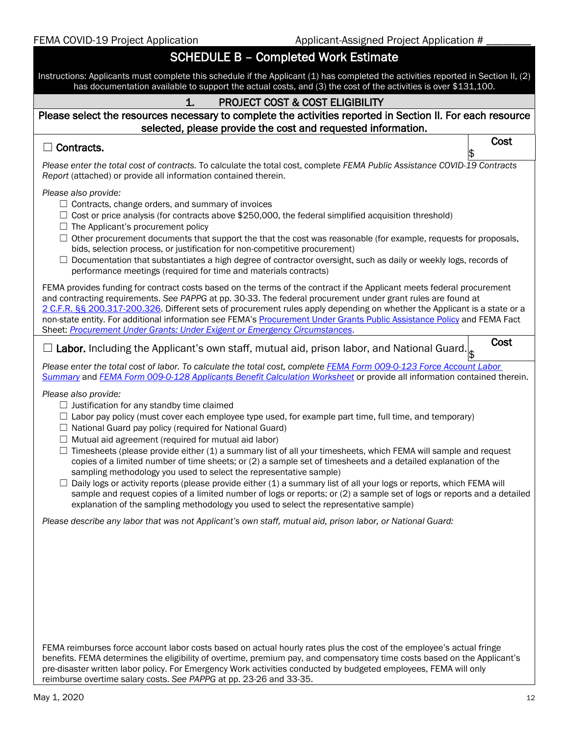| FEMA COVID-19 Project Application |  |
|-----------------------------------|--|
|-----------------------------------|--|

# SCHEDULE B – Completed Work Estimate

Instructions: Applicants must complete this schedule if the Applicant (1) has completed the activities reported in Section II, (2) has documentation available to support the actual costs, and (3) the cost of the activities is over \$131,100. 1. PROJECT COST & COST ELIGIBILITY

### Please select the resources necessary to complete the activities reported in Section II. For each resource selected, please provide the cost and requested information.

# $\Box$  Contracts.

\$ *Please enter the total cost of contracts.* To calculate the total cost, complete *FEMA Public Assistance COVID-19 Contracts Report* (attached) or provide all information contained therein.

*Please also provide:*

- $\Box$  Contracts, change orders, and summary of invoices
- $\Box$  Cost or price analysis (for contracts above \$250,000, the federal simplified acquisition threshold)
- $\Box$  The Applicant's procurement policy
- $\Box$  Other procurement documents that support the that the cost was reasonable (for example, requests for proposals, bids, selection process, or justification for non-competitive procurement)
- $\Box$  Documentation that substantiates a high degree of contractor oversight, such as daily or weekly logs, records of performance meetings (required for time and materials contracts)

FEMA provides funding for contract costs based on the terms of the contract if the Applicant meets federal procurement and contracting requirements. *See PAPPG* at pp. 30-33. The federal procurement under grant rules are found at 2 C.F.R. §§ [200.317-200.326.](https://www.ecfr.gov/cgi-bin/text-idx?SID=8fa2890df66fb12d1701cb29979f6231&mc=true&node=sg2.1.200_1316.sg3&rgn=div7) Different sets of procurement rules apply depending on whether the Applicant is a state or a non-state entity. For additional information *see* FEMA's [Procurement Under Grants Public Assistance Policy](https://www.fema.gov/media-library/assets/documents/96773V2) and FEMA Fact Sheet: *[Procurement Under Grants: Under Exigent or Emergency Circumstances](https://www.fema.gov/media-library/assets/documents/186350)*.

 $\Box$  Labor. Including the Applicant's own staff, mutual aid, prison labor, and National Guard. Cost \$

*Please enter the total cost of labor. To calculate the total cost, complete [FEMA Form 009-0-123 Force Account Labor](https://www.fema.gov/media-library/assets/documents/10588)  [Summary](https://www.fema.gov/media-library/assets/documents/10588)* and *FEMA Form [009-0-128 Applicants Benefit Calculation Worksheet](https://www.fema.gov/media-library/assets/documents/10611)* or provide all information contained therein.

*Please also provide:*

- $\Box$  Justification for any standby time claimed
- $\Box$  Labor pay policy (must cover each employee type used, for example part time, full time, and temporary)
- $\Box$  National Guard pay policy (required for National Guard)
- $\Box$  Mutual aid agreement (required for mutual aid labor)
- $\Box$  Timesheets (please provide either (1) a summary list of all your timesheets, which FEMA will sample and request copies of a limited number of time sheets; or (2) a sample set of timesheets and a detailed explanation of the sampling methodology you used to select the representative sample)
- $\Box$  Daily logs or activity reports (please provide either (1) a summary list of all your logs or reports, which FEMA will sample and request copies of a limited number of logs or reports; or (2) a sample set of logs or reports and a detailed explanation of the sampling methodology you used to select the representative sample)

*Please describe any labor that was not Applicant's own staff, mutual aid, prison labor, or National Guard:*

FEMA reimburses force account labor costs based on actual hourly rates plus the cost of the employee's actual fringe benefits. FEMA determines the eligibility of overtime, premium pay, and compensatory time costs based on the Applicant's pre-disaster written labor policy. For Emergency Work activities conducted by budgeted employees, FEMA will only reimburse overtime salary costs. *See PAPPG* at pp. 23-26 and 33-35.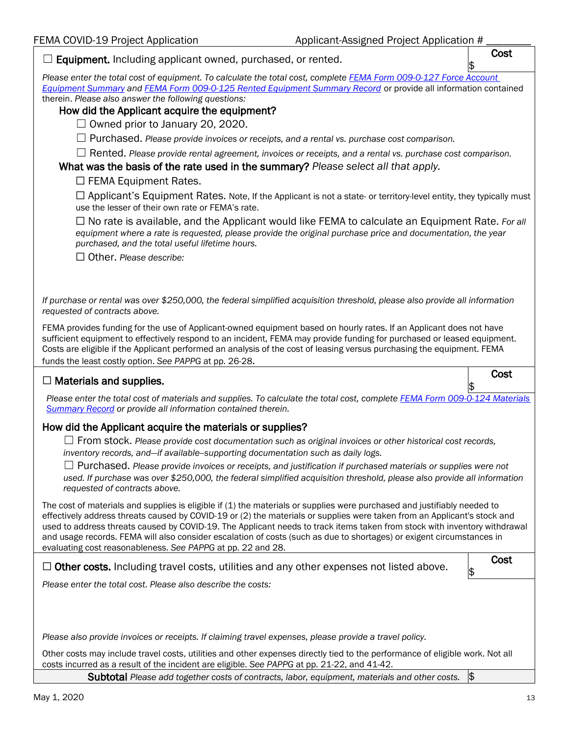| Equipment. Including applicant owned, purchased, or rented.                                                                                                                                                                                                                                                                                                                                                                                                                                                | Cost |
|------------------------------------------------------------------------------------------------------------------------------------------------------------------------------------------------------------------------------------------------------------------------------------------------------------------------------------------------------------------------------------------------------------------------------------------------------------------------------------------------------------|------|
| Please enter the total cost of equipment. To calculate the total cost, complete FEMA Form 009-0-127 Force Account<br>Equipment Summary and FEMA Form 009-0-125 Rented Equipment Summary Record or provide all information contained<br>therein. Please also answer the following questions:<br>How did the Applicant acquire the equipment?                                                                                                                                                                |      |
| $\Box$ Owned prior to January 20, 2020.                                                                                                                                                                                                                                                                                                                                                                                                                                                                    |      |
| $\Box$ Purchased. Please provide invoices or receipts, and a rental vs. purchase cost comparison.                                                                                                                                                                                                                                                                                                                                                                                                          |      |
| $\Box$ Rented. Please provide rental agreement, invoices or receipts, and a rental vs. purchase cost comparison.<br>What was the basis of the rate used in the summary? Please select all that apply.<br>$\Box$ FEMA Equipment Rates.                                                                                                                                                                                                                                                                      |      |
| $\Box$ Applicant's Equipment Rates. Note, If the Applicant is not a state- or territory-level entity, they typically must<br>use the lesser of their own rate or FEMA's rate.                                                                                                                                                                                                                                                                                                                              |      |
| $\Box$ No rate is available, and the Applicant would like FEMA to calculate an Equipment Rate. For all<br>equipment where a rate is requested, please provide the original purchase price and documentation, the year<br>purchased, and the total useful lifetime hours.                                                                                                                                                                                                                                   |      |
| $\Box$ Other. Please describe:                                                                                                                                                                                                                                                                                                                                                                                                                                                                             |      |
|                                                                                                                                                                                                                                                                                                                                                                                                                                                                                                            |      |
| If purchase or rental was over \$250,000, the federal simplified acquisition threshold, please also provide all information<br>requested of contracts above.                                                                                                                                                                                                                                                                                                                                               |      |
| FEMA provides funding for the use of Applicant-owned equipment based on hourly rates. If an Applicant does not have<br>sufficient equipment to effectively respond to an incident, FEMA may provide funding for purchased or leased equipment.<br>Costs are eligible if the Applicant performed an analysis of the cost of leasing versus purchasing the equipment. FEMA<br>funds the least costly option. See PAPPG at pp. 26-28.                                                                         |      |
|                                                                                                                                                                                                                                                                                                                                                                                                                                                                                                            |      |
| $\Box$ Materials and supplies.                                                                                                                                                                                                                                                                                                                                                                                                                                                                             | Cost |
| Please enter the total cost of materials and supplies. To calculate the total cost, complete FEMA Form 009-0-124 Materials<br><b>Summary Record</b> or provide all information contained therein.                                                                                                                                                                                                                                                                                                          |      |
| How did the Applicant acquire the materials or supplies?                                                                                                                                                                                                                                                                                                                                                                                                                                                   |      |
| $\Box$ From stock. Please provide cost documentation such as original invoices or other historical cost records,<br>inventory records, and-if available-supporting documentation such as daily logs.                                                                                                                                                                                                                                                                                                       |      |
| $\Box$ Purchased. Please provide invoices or receipts, and justification if purchased materials or supplies were not<br>used. If purchase was over \$250,000, the federal simplified acquisition threshold, please also provide all information<br>requested of contracts above.                                                                                                                                                                                                                           |      |
| The cost of materials and supplies is eligible if (1) the materials or supplies were purchased and justifiably needed to<br>effectively address threats caused by COVID-19 or (2) the materials or supplies were taken from an Applicant's stock and<br>used to address threats caused by COVID-19. The Applicant needs to track items taken from stock with inventory withdrawal<br>and usage records. FEMA will also consider escalation of costs (such as due to shortages) or exigent circumstances in |      |
| evaluating cost reasonableness. See PAPPG at pp. 22 and 28.<br>$\Box$ Other costs. Including travel costs, utilities and any other expenses not listed above.                                                                                                                                                                                                                                                                                                                                              | Cost |
| Please enter the total cost. Please also describe the costs:                                                                                                                                                                                                                                                                                                                                                                                                                                               | \$   |
|                                                                                                                                                                                                                                                                                                                                                                                                                                                                                                            |      |
| Please also provide invoices or receipts. If claiming travel expenses, please provide a travel policy.                                                                                                                                                                                                                                                                                                                                                                                                     |      |
| Other costs may include travel costs, utilities and other expenses directly tied to the performance of eligible work. Not all<br>costs incurred as a result of the incident are eligible. See PAPPG at pp. 21-22, and 41-42.                                                                                                                                                                                                                                                                               |      |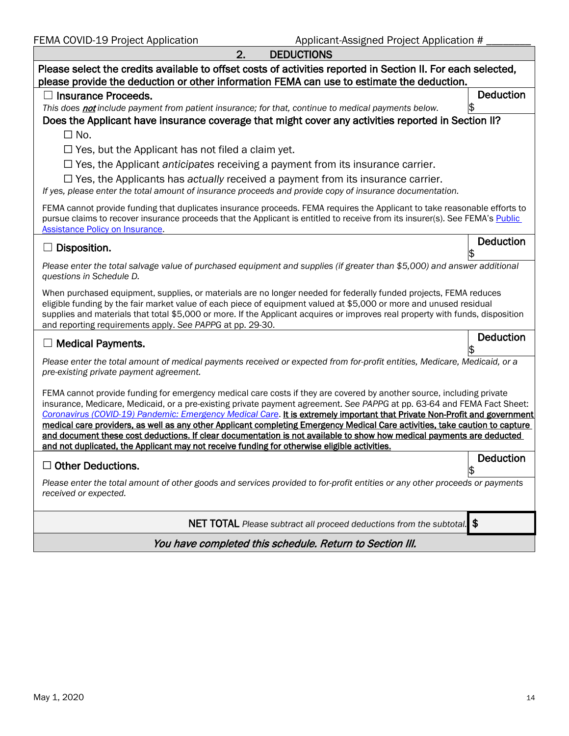| FEMA COVID-19 Project Application<br>Applicant-Assigned Project Application #                                                                                                                                                                                                                                                                                                                                                                                                                                                                                                                                                          |                  |
|----------------------------------------------------------------------------------------------------------------------------------------------------------------------------------------------------------------------------------------------------------------------------------------------------------------------------------------------------------------------------------------------------------------------------------------------------------------------------------------------------------------------------------------------------------------------------------------------------------------------------------------|------------------|
| 2.<br><b>DEDUCTIONS</b>                                                                                                                                                                                                                                                                                                                                                                                                                                                                                                                                                                                                                |                  |
| Please select the credits available to offset costs of activities reported in Section II. For each selected,<br>please provide the deduction or other information FEMA can use to estimate the deduction.                                                                                                                                                                                                                                                                                                                                                                                                                              |                  |
| <b>Insurance Proceeds.</b>                                                                                                                                                                                                                                                                                                                                                                                                                                                                                                                                                                                                             | <b>Deduction</b> |
| This does not include payment from patient insurance; for that, continue to medical payments below.                                                                                                                                                                                                                                                                                                                                                                                                                                                                                                                                    |                  |
| Does the Applicant have insurance coverage that might cover any activities reported in Section II?<br>$\Box$ No.                                                                                                                                                                                                                                                                                                                                                                                                                                                                                                                       |                  |
| $\Box$ Yes, but the Applicant has not filed a claim yet.                                                                                                                                                                                                                                                                                                                                                                                                                                                                                                                                                                               |                  |
| $\Box$ Yes, the Applicant anticipates receiving a payment from its insurance carrier.                                                                                                                                                                                                                                                                                                                                                                                                                                                                                                                                                  |                  |
| $\Box$ Yes, the Applicants has actually received a payment from its insurance carrier.<br>If yes, please enter the total amount of insurance proceeds and provide copy of insurance documentation.                                                                                                                                                                                                                                                                                                                                                                                                                                     |                  |
| FEMA cannot provide funding that duplicates insurance proceeds. FEMA requires the Applicant to take reasonable efforts to<br>pursue claims to recover insurance proceeds that the Applicant is entitled to receive from its insurer(s). See FEMA's Public<br><b>Assistance Policy on Insurance.</b>                                                                                                                                                                                                                                                                                                                                    |                  |
| Disposition.                                                                                                                                                                                                                                                                                                                                                                                                                                                                                                                                                                                                                           | <b>Deduction</b> |
| Please enter the total salvage value of purchased equipment and supplies (if greater than \$5,000) and answer additional<br>questions in Schedule D.                                                                                                                                                                                                                                                                                                                                                                                                                                                                                   |                  |
| When purchased equipment, supplies, or materials are no longer needed for federally funded projects, FEMA reduces<br>eligible funding by the fair market value of each piece of equipment valued at \$5,000 or more and unused residual<br>supplies and materials that total \$5,000 or more. If the Applicant acquires or improves real property with funds, disposition<br>and reporting requirements apply. See PAPPG at pp. 29-30.                                                                                                                                                                                                 |                  |
| <b>Medical Payments.</b>                                                                                                                                                                                                                                                                                                                                                                                                                                                                                                                                                                                                               | Deduction        |
| Please enter the total amount of medical payments received or expected from for-profit entities, Medicare, Medicaid, or a<br>pre-existing private payment agreement.                                                                                                                                                                                                                                                                                                                                                                                                                                                                   |                  |
| FEMA cannot provide funding for emergency medical care costs if they are covered by another source, including private<br>insurance, Medicare, Medicaid, or a pre-existing private payment agreement. See PAPPG at pp. 63-64 and FEMA Fact Sheet:<br>Coronavirus (COVID-19) Pandemic: Emergency Medical Care. It is extremely important that Private Non-Profit and government<br>medical care providers, as well as any other Applicant completing Emergency Medical Care activities, take caution to capture<br>and document these cost deductions. If clear documentation is not available to show how medical payments are deducted |                  |
| and not duplicated, the Applicant may not receive funding for otherwise eligible activities.                                                                                                                                                                                                                                                                                                                                                                                                                                                                                                                                           |                  |
| $\Box$ Other Deductions.                                                                                                                                                                                                                                                                                                                                                                                                                                                                                                                                                                                                               | <b>Deduction</b> |
| Please enter the total amount of other goods and services provided to for-profit entities or any other proceeds or payments<br>received or expected.                                                                                                                                                                                                                                                                                                                                                                                                                                                                                   |                  |

NET TOTAL *Please subtract all proceed deductions from the subtotal.* \$

You have completed this schedule. Return to Section III.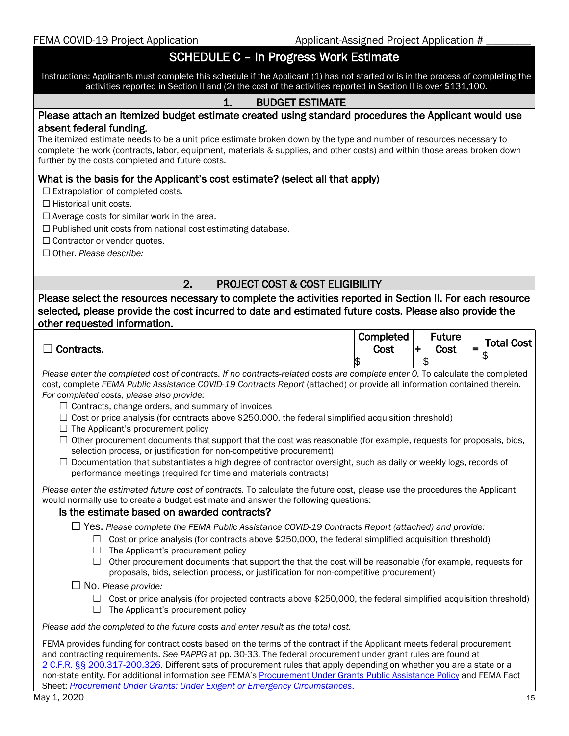## SCHEDULE C – In Progress Work Estimate

Instructions: Applicants must complete this schedule if the Applicant (1) has not started or is in the process of completing the activities reported in Section II and (2) the cost of the activities reported in Section II is over \$131,100.

### 1. BUDGET ESTIMATE

# Please attach an itemized budget estimate created using standard procedures the Applicant would use absent federal funding.<br>The itemized estimate needs to be a unit price estimate broken down by the type and number of resources necessary to

complete the work (contracts, labor, equipment, materials & supplies, and other costs) and within those areas broken down further by the costs completed and future costs.

#### What is the basis for the Applicant's cost estimate? (select all that apply)

☐ Extrapolation of completed costs.

□ Historical unit costs.

 $\Box$  Average costs for similar work in the area.

 $\Box$  Published unit costs from national cost estimating database.

□ Contractor or vendor quotes.

☐ Other. *Please describe:*

 $\overline{\phantom{a}}$ 

#### 2. PROJECT COST & COST ELIGIBILITY

Please select the resources necessary to complete the activities reported in Section II. For each resource selected, please provide the cost incurred to date and estimated future costs. Please also provide the other requested information.

| ─<br>' Contracts. | Completed<br>Cost | <b>Future</b><br>Cost | - | Total Cost |
|-------------------|-------------------|-----------------------|---|------------|
|                   | ۰D                | 1\$                   |   | I⊅         |

*Please enter the completed cost of contracts. If no contracts-related costs are complete enter 0.* To calculate the completed cost, complete *FEMA Public Assistance COVID-19 Contracts Report* (attached) or provide all information contained therein. *For completed costs, please also provide:*

- $\Box$  Contracts, change orders, and summary of invoices
- $\Box$  Cost or price analysis (for contracts above \$250,000, the federal simplified acquisition threshold)
- $\Box$  The Applicant's procurement policy
- $\Box$  Other procurement documents that support that the cost was reasonable (for example, requests for proposals, bids, selection process, or justification for non-competitive procurement)
- $\Box$  Documentation that substantiates a high degree of contractor oversight, such as daily or weekly logs, records of performance meetings (required for time and materials contracts)

*Please enter the estimated future cost of contracts.* To calculate the future cost, please use the procedures the Applicant would normally use to create a budget estimate and answer the following questions:

#### Is the estimate based on awarded contracts?

☐ Yes. *Please complete the FEMA Public Assistance COVID-19 Contracts Report (attached) and provide:*

- $\Box$  Cost or price analysis (for contracts above \$250,000, the federal simplified acquisition threshold)
- $\Box$  The Applicant's procurement policy
- $\Box$  Other procurement documents that support the that the cost will be reasonable (for example, requests for proposals, bids, selection process, or justification for non-competitive procurement)

☐ No. *Please provide:*

- $\Box$  Cost or price analysis (for projected contracts above \$250,000, the federal simplified acquisition threshold)
- $\Box$  The Applicant's procurement policy

*Please add the completed to the future costs and enter result as the total cost.* 

FEMA provides funding for contract costs based on the terms of the contract if the Applicant meets federal procurement and contracting requirements. *See PAPPG* at pp. 30-33. The federal procurement under grant rules are found at 2 C.F.R. §§ [200.317-200.326.](https://www.ecfr.gov/cgi-bin/text-idx?SID=8fa2890df66fb12d1701cb29979f6231&mc=true&node=sg2.1.200_1316.sg3&rgn=div7) Different sets of procurement rules that apply depending on whether you are a state or a non-state entity. For additional information *see* FEMA'[s Procurement Under Grants Public Assistance Policy](https://www.fema.gov/media-library/assets/documents/96773V2) and FEMA Fact Sheet: *[Procurement Under Grants: Under Exigent or Emergency Circumstances](https://www.fema.gov/media-library/assets/documents/186350)*.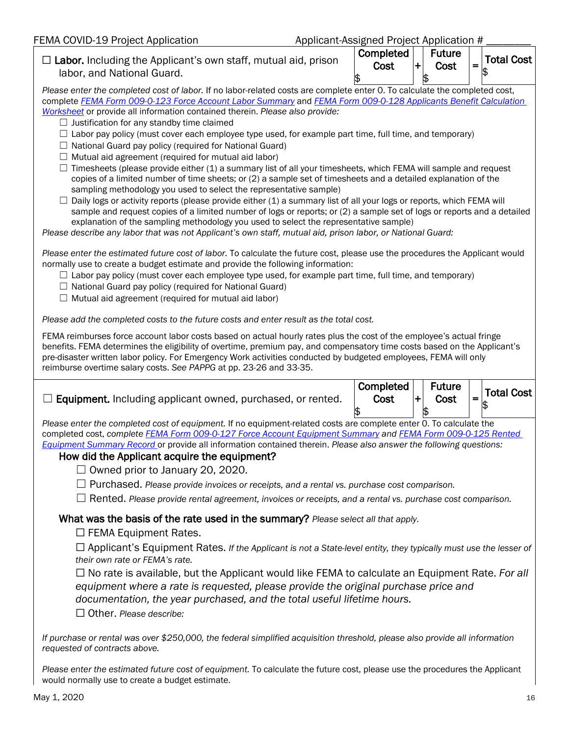| FEMA COVID-19 Project Application |  |
|-----------------------------------|--|
|-----------------------------------|--|

Applicant-Assigned Project Application #

| $\Box$ www.oo wib $\Box$ b i roject/spplications                                                                                                                                                                                                                                                                                                                                                                                                                                                                                                                                                                                                                                                                                                                                                                                                                                                                                                                                                                                                                                                                                                                                                                                                                                                                                                                                                                  |  | pphoant / looking it is in reject / lipping them |   |                       |     |                   |
|-------------------------------------------------------------------------------------------------------------------------------------------------------------------------------------------------------------------------------------------------------------------------------------------------------------------------------------------------------------------------------------------------------------------------------------------------------------------------------------------------------------------------------------------------------------------------------------------------------------------------------------------------------------------------------------------------------------------------------------------------------------------------------------------------------------------------------------------------------------------------------------------------------------------------------------------------------------------------------------------------------------------------------------------------------------------------------------------------------------------------------------------------------------------------------------------------------------------------------------------------------------------------------------------------------------------------------------------------------------------------------------------------------------------|--|--------------------------------------------------|---|-----------------------|-----|-------------------|
| $\Box$ Labor. Including the Applicant's own staff, mutual aid, prison<br>labor, and National Guard.                                                                                                                                                                                                                                                                                                                                                                                                                                                                                                                                                                                                                                                                                                                                                                                                                                                                                                                                                                                                                                                                                                                                                                                                                                                                                                               |  | Completed<br>Cost                                | ٠ | <b>Future</b><br>Cost | $=$ | <b>Total Cost</b> |
| Please enter the completed cost of labor. If no labor-related costs are complete enter 0. To calculate the completed cost,<br>complete FEMA Form 009-0-123 Force Account Labor Summary and FEMA Form 009-0-128 Applicants Benefit Calculation<br>Worksheet or provide all information contained therein. Please also provide:<br>$\Box$ Justification for any standby time claimed<br>$\Box$ Labor pay policy (must cover each employee type used, for example part time, full time, and temporary)<br>$\Box$ National Guard pay policy (required for National Guard)<br>$\Box$ Mutual aid agreement (required for mutual aid labor)<br>Timesheets (please provide either (1) a summary list of all your timesheets, which FEMA will sample and request<br>copies of a limited number of time sheets; or (2) a sample set of timesheets and a detailed explanation of the<br>sampling methodology you used to select the representative sample)<br>$\Box$ Daily logs or activity reports (please provide either (1) a summary list of all your logs or reports, which FEMA will<br>sample and request copies of a limited number of logs or reports; or (2) a sample set of logs or reports and a detailed<br>explanation of the sampling methodology you used to select the representative sample)<br>Please describe any labor that was not Applicant's own staff, mutual aid, prison labor, or National Guard: |  | \$                                               |   |                       |     |                   |
| Please enter the estimated future cost of labor. To calculate the future cost, please use the procedures the Applicant would<br>normally use to create a budget estimate and provide the following information:<br>$\Box$ Labor pay policy (must cover each employee type used, for example part time, full time, and temporary)<br>$\Box$ National Guard pay policy (required for National Guard)<br>$\Box$ Mutual aid agreement (required for mutual aid labor)                                                                                                                                                                                                                                                                                                                                                                                                                                                                                                                                                                                                                                                                                                                                                                                                                                                                                                                                                 |  |                                                  |   |                       |     |                   |
| Please add the completed costs to the future costs and enter result as the total cost.                                                                                                                                                                                                                                                                                                                                                                                                                                                                                                                                                                                                                                                                                                                                                                                                                                                                                                                                                                                                                                                                                                                                                                                                                                                                                                                            |  |                                                  |   |                       |     |                   |
| FEMA reimburses force account labor costs based on actual hourly rates plus the cost of the employee's actual fringe<br>benefits. FEMA determines the eligibility of overtime, premium pay, and compensatory time costs based on the Applicant's<br>pre-disaster written labor policy. For Emergency Work activities conducted by budgeted employees, FEMA will only<br>reimburse overtime salary costs. See PAPPG at pp. 23-26 and 33-35.                                                                                                                                                                                                                                                                                                                                                                                                                                                                                                                                                                                                                                                                                                                                                                                                                                                                                                                                                                        |  |                                                  |   |                       |     |                   |
|                                                                                                                                                                                                                                                                                                                                                                                                                                                                                                                                                                                                                                                                                                                                                                                                                                                                                                                                                                                                                                                                                                                                                                                                                                                                                                                                                                                                                   |  | Completed                                        |   | <b>Future</b>         |     |                   |
| Equipment. Including applicant owned, purchased, or rented.                                                                                                                                                                                                                                                                                                                                                                                                                                                                                                                                                                                                                                                                                                                                                                                                                                                                                                                                                                                                                                                                                                                                                                                                                                                                                                                                                       |  | Cost                                             | ┿ | Cost                  | $=$ | <b>Total Cost</b> |
| Please enter the completed cost of equipment. If no equipment-related costs are complete enter 0. To calculate the<br>completed cost, complete FEMA Form 009-0-127 Force Account Equipment Summary and FEMA Form 009-0-125 Rented<br>Equipment Summary Record or provide all information contained therein. Please also answer the following questions:<br>How did the Applicant acquire the equipment?<br>$\Box$ Owned prior to January 20, 2020.<br>$\Box$ Purchased. Please provide invoices or receipts, and a rental vs. purchase cost comparison.<br>$\Box$ Rented. Please provide rental agreement, invoices or receipts, and a rental vs. purchase cost comparison.                                                                                                                                                                                                                                                                                                                                                                                                                                                                                                                                                                                                                                                                                                                                       |  |                                                  |   |                       |     |                   |
| What was the basis of the rate used in the summary? Please select all that apply.<br>$\Box$ FEMA Equipment Rates.                                                                                                                                                                                                                                                                                                                                                                                                                                                                                                                                                                                                                                                                                                                                                                                                                                                                                                                                                                                                                                                                                                                                                                                                                                                                                                 |  |                                                  |   |                       |     |                   |
| $\Box$ Applicant's Equipment Rates. If the Applicant is not a State-level entity, they typically must use the lesser of<br>their own rate or FEMA's rate.                                                                                                                                                                                                                                                                                                                                                                                                                                                                                                                                                                                                                                                                                                                                                                                                                                                                                                                                                                                                                                                                                                                                                                                                                                                         |  |                                                  |   |                       |     |                   |
| $\Box$ No rate is available, but the Applicant would like FEMA to calculate an Equipment Rate. For all<br>equipment where a rate is requested, please provide the original purchase price and<br>documentation, the year purchased, and the total useful lifetime hours.<br>$\Box$ Other. Please describe:                                                                                                                                                                                                                                                                                                                                                                                                                                                                                                                                                                                                                                                                                                                                                                                                                                                                                                                                                                                                                                                                                                        |  |                                                  |   |                       |     |                   |
| If purchase or rental was over \$250,000, the federal simplified acquisition threshold, please also provide all information<br>requested of contracts above.                                                                                                                                                                                                                                                                                                                                                                                                                                                                                                                                                                                                                                                                                                                                                                                                                                                                                                                                                                                                                                                                                                                                                                                                                                                      |  |                                                  |   |                       |     |                   |
| Please enter the estimated future cost of equipment. To calculate the future cost, please use the procedures the Applicant<br>would normally use to create a budget estimate.                                                                                                                                                                                                                                                                                                                                                                                                                                                                                                                                                                                                                                                                                                                                                                                                                                                                                                                                                                                                                                                                                                                                                                                                                                     |  |                                                  |   |                       |     |                   |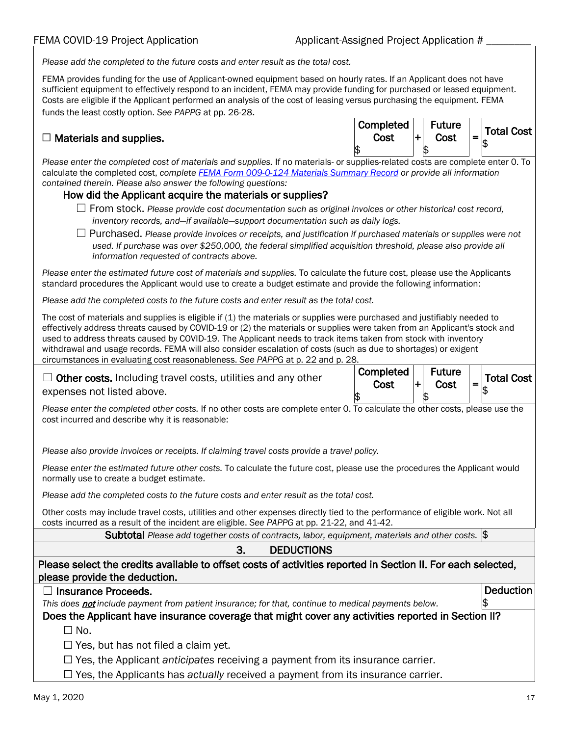*Please add the completed to the future costs and enter result as the total cost.* 

FEMA provides funding for the use of Applicant-owned equipment based on hourly rates. If an Applicant does not have sufficient equipment to effectively respond to an incident, FEMA may provide funding for purchased or leased equipment. Costs are eligible if the Applicant performed an analysis of the cost of leasing versus purchasing the equipment. FEMA funds the least costly option. *See PAPPG* at pp. 26-28.

### $\Box$  Materials and supplies.

| Completed<br>Cost | <b>Future</b><br>Cost | Total Cost |
|-------------------|-----------------------|------------|
|                   |                       |            |

*Please enter the completed cost of materials and supplies.* If no materials- or supplies-related costs are complete enter 0. To calculate the completed cost, *complet[e FEMA Form 009-0-124 Materials Summary Record](https://www.fema.gov/media-library/assets/documents/10592) or provide all information contained therein. Please also answer the following questions:*

#### How did the Applicant acquire the materials or supplies?

- ☐ From stock. *Please provide cost documentation such as original invoices or other historical cost record, inventory records, and—if available—support documentation such as daily logs.*
- ☐ Purchased. *Please provide invoices or receipts, and justification if purchased materials or supplies were not*  used. If purchase was over \$250,000, the federal simplified acquisition threshold, please also provide all *information requested of contracts above.*

*Please enter the estimated future cost of materials and supplies.* To calculate the future cost, please use the Applicants standard procedures the Applicant would use to create a budget estimate and provide the following information:

*Please add the completed costs to the future costs and enter result as the total cost.* 

The cost of materials and supplies is eligible if (1) the materials or supplies were purchased and justifiably needed to effectively address threats caused by COVID-19 or (2) the materials or supplies were taken from an Applicant's stock and used to address threats caused by COVID-19. The Applicant needs to track items taken from stock with inventory withdrawal and usage records. FEMA will also consider escalation of costs (such as due to shortages) or exigent circumstances in evaluating cost reasonableness. *See PAPPG* at p. 22 and p. 28.

 $\Box$  Other costs. Including travel costs, utilities and any other expenses not listed above.

| Completed<br>Cost | <b>Future</b><br>Cost | <b>Total Cost</b> |
|-------------------|-----------------------|-------------------|
|                   |                       |                   |

*Please enter the completed other costs.* If no other costs are complete enter 0. To calculate the other costs, please use the cost incurred and describe why it is reasonable:

*Please also provide invoices or receipts. If claiming travel costs provide a travel policy.*

*Please enter the estimated future other costs.* To calculate the future cost, please use the procedures the Applicant would normally use to create a budget estimate.

*Please add the completed costs to the future costs and enter result as the total cost.*

Other costs may include travel costs, utilities and other expenses directly tied to the performance of eligible work. Not all costs incurred as a result of the incident are eligible. *See PAPPG* at pp. 21-22, and 41-42.

Subtotal Please add together costs of contracts, labor, equipment, materials and other costs.

#### 3. DEDUCTIONS

| Please select the credits available to offset costs of activities reported in Section II. For each selected, |  |
|--------------------------------------------------------------------------------------------------------------|--|
| please provide the deduction.                                                                                |  |

|  |  | $\Box$ Insurance Proceeds. |
|--|--|----------------------------|
|--|--|----------------------------|

*This does* not *include payment from patient insurance; for that, continue to medical payments below.*

Does the Applicant have insurance coverage that might cover any activities reported in Section II?

 $\square$  No.

 $\Box$  Yes, but has not filed a claim yet.

☐ Yes, the Applicant *anticipates* receiving a payment from its insurance carrier.

☐ Yes, the Applicants has *actually* received a payment from its insurance carrier.

Deduction

 $\frac{1}{2}$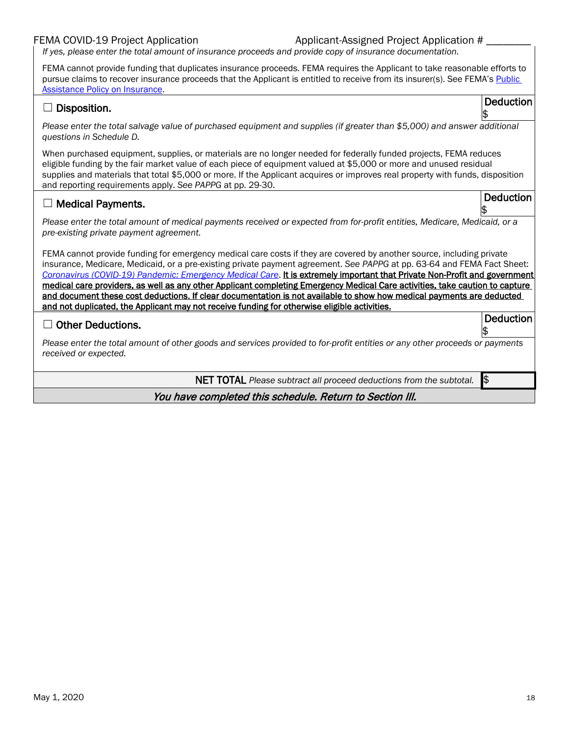#### FEMA COVID-19 Project Application

|  | Applicant-Assigned Project Application # |  |  |
|--|------------------------------------------|--|--|
|  |                                          |  |  |

*If yes, please enter the total amount of insurance proceeds and provide copy of insurance documentation.*

FEMA cannot provide funding that duplicates insurance proceeds. FEMA requires the Applicant to take reasonable efforts to pursue claims to recover insurance proceeds that the Applicant is entitled to receive from its insurer(s). See FEMA's Public [Assistance Policy on Insurance.](https://www.fema.gov/media-library-data/1558538632295-d4165531878c8c8795551d3a7665d03e/Public_Assistance_Insurance_Policy_FP_206-086-1_6-29-2015.pdf)

| <u>ASSIStance Folicy on insurance</u><br><b>Deduction</b><br>Disposition.                                                                                                                                                                                                                                                                                                                                                                                                                                                                                                                                                                                                                                                              |
|----------------------------------------------------------------------------------------------------------------------------------------------------------------------------------------------------------------------------------------------------------------------------------------------------------------------------------------------------------------------------------------------------------------------------------------------------------------------------------------------------------------------------------------------------------------------------------------------------------------------------------------------------------------------------------------------------------------------------------------|
| Please enter the total salvage value of purchased equipment and supplies (if greater than \$5,000) and answer additional<br>questions in Schedule D.                                                                                                                                                                                                                                                                                                                                                                                                                                                                                                                                                                                   |
| When purchased equipment, supplies, or materials are no longer needed for federally funded projects, FEMA reduces<br>eligible funding by the fair market value of each piece of equipment valued at \$5,000 or more and unused residual<br>supplies and materials that total \$5,000 or more. If the Applicant acquires or improves real property with funds, disposition<br>and reporting requirements apply. See PAPPG at pp. 29-30.                                                                                                                                                                                                                                                                                                 |
| <b>Deduction</b><br>$\Box$ Medical Payments.                                                                                                                                                                                                                                                                                                                                                                                                                                                                                                                                                                                                                                                                                           |
| Please enter the total amount of medical payments received or expected from for-profit entities, Medicare, Medicaid, or a<br>pre-existing private payment agreement.                                                                                                                                                                                                                                                                                                                                                                                                                                                                                                                                                                   |
| FEMA cannot provide funding for emergency medical care costs if they are covered by another source, including private<br>insurance, Medicare, Medicaid, or a pre-existing private payment agreement. See PAPPG at pp. 63-64 and FEMA Fact Sheet:<br>Coronavirus (COVID-19) Pandemic: Emergency Medical Care. It is extremely important that Private Non-Profit and government<br>medical care providers, as well as any other Applicant completing Emergency Medical Care activities, take caution to capture<br>and document these cost deductions. If clear documentation is not available to show how medical payments are deducted<br>and not duplicated, the Applicant may not receive funding for otherwise eligible activities. |
| <b>Deduction</b><br><b>Other Deductions.</b>                                                                                                                                                                                                                                                                                                                                                                                                                                                                                                                                                                                                                                                                                           |
| Please enter the total amount of other goods and services provided to for-profit entities or any other proceeds or payments<br>received or expected.                                                                                                                                                                                                                                                                                                                                                                                                                                                                                                                                                                                   |
| $\mathsf{I}$<br><b>NET TOTAL</b> Please subtract all proceed deductions from the subtotal.                                                                                                                                                                                                                                                                                                                                                                                                                                                                                                                                                                                                                                             |
| You have completed this schedule. Return to Section III.                                                                                                                                                                                                                                                                                                                                                                                                                                                                                                                                                                                                                                                                               |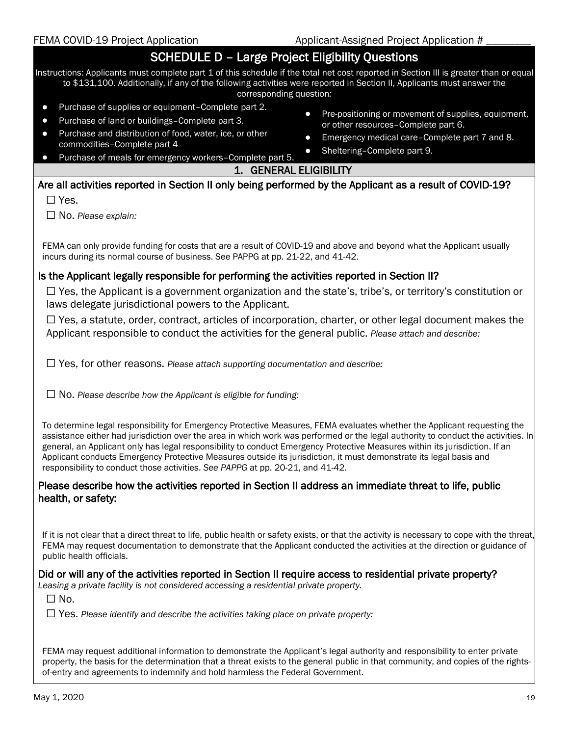| FEMA COVID-19 Project Application                                                                                                                                                                                                                                                                                                                                                                                                                                                                                                                                                                    | Applicant-Assigned Project Application #                                             |
|------------------------------------------------------------------------------------------------------------------------------------------------------------------------------------------------------------------------------------------------------------------------------------------------------------------------------------------------------------------------------------------------------------------------------------------------------------------------------------------------------------------------------------------------------------------------------------------------------|--------------------------------------------------------------------------------------|
| <b>SCHEDULE D - Large Project Eligibility Questions</b>                                                                                                                                                                                                                                                                                                                                                                                                                                                                                                                                              |                                                                                      |
| Instructions: Applicants must complete part 1 of this schedule if the total net cost reported in Section III is greater than or equal<br>to \$131,100. Additionally, if any of the following activities were reported in Section II, Applicants must answer the<br>corresponding question:                                                                                                                                                                                                                                                                                                           |                                                                                      |
| Purchase of supplies or equipment-Complete part 2.<br>$\bullet$<br>$\bullet$<br>Purchase of land or buildings-Complete part 3.<br>$\bullet$                                                                                                                                                                                                                                                                                                                                                                                                                                                          | Pre-positioning or movement of supplies, equipment,                                  |
| Purchase and distribution of food, water, ice, or other<br>$\bullet$<br>$\bullet$                                                                                                                                                                                                                                                                                                                                                                                                                                                                                                                    | or other resources-Complete part 6.<br>Emergency medical care-Complete part 7 and 8. |
| commodities-Complete part 4<br>$\bullet$<br>Purchase of meals for emergency workers-Complete part 5.<br>$\bullet$                                                                                                                                                                                                                                                                                                                                                                                                                                                                                    | Sheltering-Complete part 9.                                                          |
| 1. GENERAL ELIGIBILITY                                                                                                                                                                                                                                                                                                                                                                                                                                                                                                                                                                               |                                                                                      |
| Are all activities reported in Section II only being performed by the Applicant as a result of COVID-19?                                                                                                                                                                                                                                                                                                                                                                                                                                                                                             |                                                                                      |
| $\Box$ Yes.                                                                                                                                                                                                                                                                                                                                                                                                                                                                                                                                                                                          |                                                                                      |
| $\Box$ No. Please explain:                                                                                                                                                                                                                                                                                                                                                                                                                                                                                                                                                                           |                                                                                      |
|                                                                                                                                                                                                                                                                                                                                                                                                                                                                                                                                                                                                      |                                                                                      |
| FEMA can only provide funding for costs that are a result of COVID-19 and above and beyond what the Applicant usually<br>incurs during its normal course of business. See PAPPG at pp. 21-22, and 41-42.                                                                                                                                                                                                                                                                                                                                                                                             |                                                                                      |
| Is the Applicant legally responsible for performing the activities reported in Section II?                                                                                                                                                                                                                                                                                                                                                                                                                                                                                                           |                                                                                      |
| $\Box$ Yes, the Applicant is a government organization and the state's, tribe's, or territory's constitution or<br>laws delegate jurisdictional powers to the Applicant.                                                                                                                                                                                                                                                                                                                                                                                                                             |                                                                                      |
| $\Box$ Yes, a statute, order, contract, articles of incorporation, charter, or other legal document makes the<br>Applicant responsible to conduct the activities for the general public. Please attach and describe:                                                                                                                                                                                                                                                                                                                                                                                 |                                                                                      |
| $\Box$ Yes, for other reasons. Please attach supporting documentation and describe:                                                                                                                                                                                                                                                                                                                                                                                                                                                                                                                  |                                                                                      |
| $\Box$ No. Please describe how the Applicant is eligible for funding:                                                                                                                                                                                                                                                                                                                                                                                                                                                                                                                                |                                                                                      |
| To determine legal responsibility for Emergency Protective Measures, FEMA evaluates whether the Applicant requesting the<br>assistance either had jurisdiction over the area in which work was performed or the legal authority to conduct the activities. In<br>general, an Applicant only has legal responsibility to conduct Emergency Protective Measures within its jurisdiction. If an<br>Applicant conducts Emergency Protective Measures outside its jurisdiction, it must demonstrate its legal basis and<br>responsibility to conduct those activities. See PAPPG at pp. 20-21, and 41-42. |                                                                                      |
| Please describe how the activities reported in Section II address an immediate threat to life, public<br>health, or safety:                                                                                                                                                                                                                                                                                                                                                                                                                                                                          |                                                                                      |
| If it is not clear that a direct threat to life, public health or safety exists, or that the activity is necessary to cope with the threat,<br>FEMA may request documentation to demonstrate that the Applicant conducted the activities at the direction or guidance of<br>public health officials.                                                                                                                                                                                                                                                                                                 |                                                                                      |
| Did or will any of the activities reported in Section II require access to residential private property?<br>Leasing a private facility is not considered accessing a residential private property.<br>$\square$ No.                                                                                                                                                                                                                                                                                                                                                                                  |                                                                                      |
| $\Box$ Yes. Please identify and describe the activities taking place on private property:                                                                                                                                                                                                                                                                                                                                                                                                                                                                                                            |                                                                                      |
| FEMA may request additional information to demonstrate the Applicant's legal authority and responsibility to enter private<br>property, the basis for the determination that a threat exists to the general public in that community, and copies of the rights-<br>of-entry and agreements to indemnify and hold harmless the Federal Government.                                                                                                                                                                                                                                                    |                                                                                      |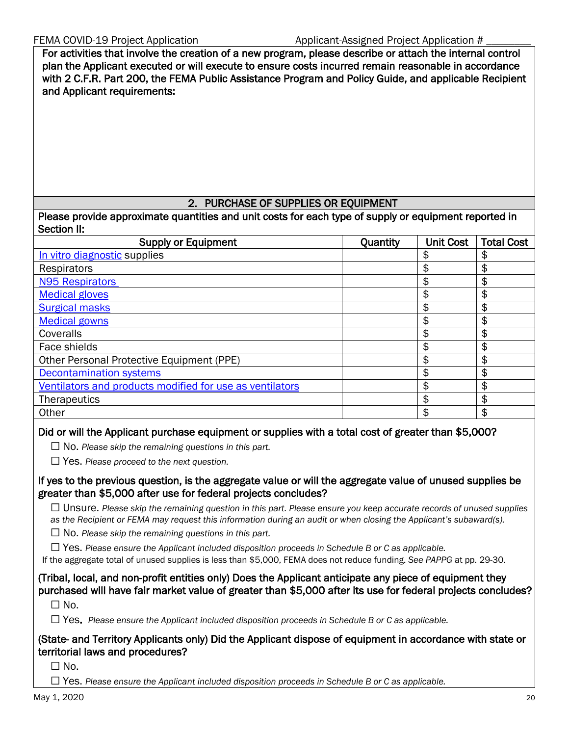For activities that involve the creation of a new program, please describe or attach the internal control plan the Applicant executed or will execute to ensure costs incurred remain reasonable in accordance with 2 C.F.R. Part 200, the FEMA Public Assistance Program and Policy Guide, and applicable Recipient and Applicant requirements:

#### 2. PURCHASE OF SUPPLIES OR EQUIPMENT

Please provide approximate quantities and unit costs for each type of supply or equipment reported in Section II:

| <b>Supply or Equipment</b>                               | Quantity | <b>Unit Cost</b> | <b>Total Cost</b> |
|----------------------------------------------------------|----------|------------------|-------------------|
| In vitro diagnostic supplies                             |          | \$               | S                 |
| Respirators                                              |          | \$               | \$                |
| <b>N95 Respirators</b>                                   |          | \$               |                   |
| <b>Medical gloves</b>                                    |          | \$               | \$                |
| <b>Surgical masks</b>                                    |          | \$               |                   |
| <b>Medical gowns</b>                                     |          | \$               |                   |
| Coveralls                                                |          | \$               |                   |
| Face shields                                             |          | \$               | \$                |
| Other Personal Protective Equipment (PPE)                |          | \$               |                   |
| <b>Decontamination systems</b>                           |          | \$               |                   |
| Ventilators and products modified for use as ventilators |          | \$               |                   |
| <b>Therapeutics</b>                                      |          | \$               | S                 |
| Other                                                    |          | \$               | \$                |
|                                                          |          |                  |                   |

#### Did or will the Applicant purchase equipment or supplies with a total cost of greater than \$5,000?

☐ No. *Please skip the remaining questions in this part.*

☐ Yes. *Please proceed to the next question.*

If yes to the previous question, is the aggregate value or will the aggregate value of unused supplies be greater than \$5,000 after use for federal projects concludes?

☐ Unsure. *Please skip the remaining question in this part. Please ensure you keep accurate records of unused supplies as the Recipient or FEMA may request this information during an audit or when closing the Applicant's subaward(s).*

☐ No. *Please skip the remaining questions in this part.*

☐ Yes. *Please ensure the Applicant included disposition proceeds in Schedule B or C as applicable.*

If the aggregate total of unused supplies is less than \$5,000, FEMA does not reduce funding. *See PAPPG* at pp. 29-30.

(Tribal, local, and non-profit entities only) Does the Applicant anticipate any piece of equipment they purchased will have fair market value of greater than \$5,000 after its use for federal projects concludes?

 $\Box$  No.

☐ Yes. *Please ensure the Applicant included disposition proceeds in Schedule B or C as applicable.*

(State- and Territory Applicants only) Did the Applicant dispose of equipment in accordance with state or territorial laws and procedures?

 $\Box$  No.

☐ Yes. *Please ensure the Applicant included disposition proceeds in Schedule B or C as applicable.*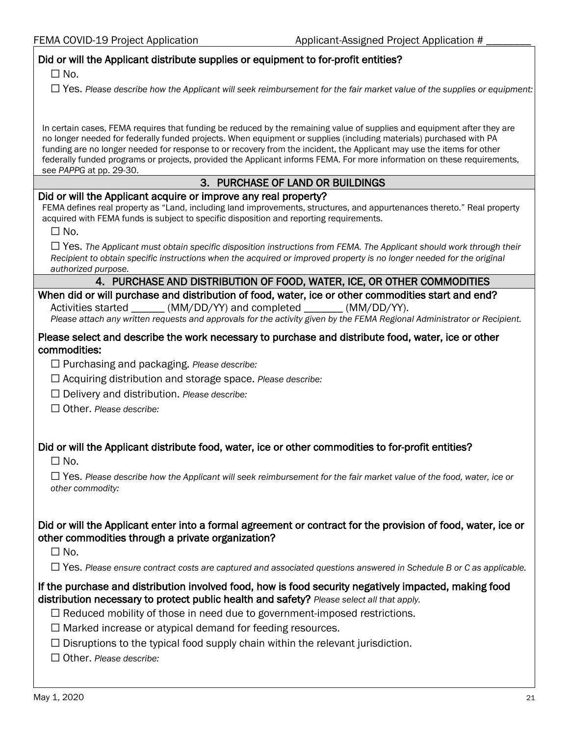| FEMA COVID-19 Project Application                                                                                                                                                                                                                                      | Applicant-Assigned Project Application #                                                                                                                                                                                                            |
|------------------------------------------------------------------------------------------------------------------------------------------------------------------------------------------------------------------------------------------------------------------------|-----------------------------------------------------------------------------------------------------------------------------------------------------------------------------------------------------------------------------------------------------|
| Did or will the Applicant distribute supplies or equipment to for-profit entities?<br>$\Box$ No.                                                                                                                                                                       |                                                                                                                                                                                                                                                     |
|                                                                                                                                                                                                                                                                        | $\Box$ Yes. Please describe how the Applicant will seek reimbursement for the fair market value of the supplies or equipment:                                                                                                                       |
| no longer needed for federally funded projects. When equipment or supplies (including materials) purchased with PA<br>funding are no longer needed for response to or recovery from the incident, the Applicant may use the items for other<br>see PAPPG at pp. 29-30. | In certain cases, FEMA requires that funding be reduced by the remaining value of supplies and equipment after they are<br>federally funded programs or projects, provided the Applicant informs FEMA. For more information on these requirements,  |
|                                                                                                                                                                                                                                                                        | 3. PURCHASE OF LAND OR BUILDINGS                                                                                                                                                                                                                    |
| Did or will the Applicant acquire or improve any real property?<br>acquired with FEMA funds is subject to specific disposition and reporting requirements.<br>$\square$ No.                                                                                            | FEMA defines real property as "Land, including land improvements, structures, and appurtenances thereto." Real property                                                                                                                             |
| authorized purpose.                                                                                                                                                                                                                                                    | $\Box$ Yes. The Applicant must obtain specific disposition instructions from FEMA. The Applicant should work through their<br>Recipient to obtain specific instructions when the acquired or improved property is no longer needed for the original |
|                                                                                                                                                                                                                                                                        | 4. PURCHASE AND DISTRIBUTION OF FOOD, WATER, ICE, OR OTHER COMMODITIES                                                                                                                                                                              |
| When did or will purchase and distribution of food, water, ice or other commodities start and end?<br>Activities started ______ (MM/DD/YY) and completed _______ (MM/DD/YY).                                                                                           | Please attach any written requests and approvals for the activity given by the FEMA Regional Administrator or Recipient.                                                                                                                            |
| Please select and describe the work necessary to purchase and distribute food, water, ice or other<br>commodities:                                                                                                                                                     |                                                                                                                                                                                                                                                     |
| $\Box$ Purchasing and packaging. Please describe:                                                                                                                                                                                                                      |                                                                                                                                                                                                                                                     |
| $\Box$ Acquiring distribution and storage space. Please describe:                                                                                                                                                                                                      |                                                                                                                                                                                                                                                     |
| $\Box$ Delivery and distribution. Please describe:                                                                                                                                                                                                                     |                                                                                                                                                                                                                                                     |
| $\Box$ Other, Please describe:                                                                                                                                                                                                                                         |                                                                                                                                                                                                                                                     |
|                                                                                                                                                                                                                                                                        |                                                                                                                                                                                                                                                     |

### Did or will the Applicant distribute food, water, ice or other commodities to for-profit entities?

 $\Box$  No.

☐ Yes. *Please describe how the Applicant will seek reimbursement for the fair market value of the food, water, ice or other commodity:*

#### Did or will the Applicant enter into a formal agreement or contract for the provision of food, water, ice or other commodities through a private organization?

 $\Box$  No.

☐ Yes. *Please ensure contract costs are captured and associated questions answered in Schedule B or C as applicable.*

#### If the purchase and distribution involved food, how is food security negatively impacted, making food distribution necessary to protect public health and safety? *Please select all that apply.*

- ☐ Reduced mobility of those in need due to government-imposed restrictions.
- ☐ Marked increase or atypical demand for feeding resources.
- $\Box$  Disruptions to the typical food supply chain within the relevant jurisdiction.
- ☐ Other. *Please describe:*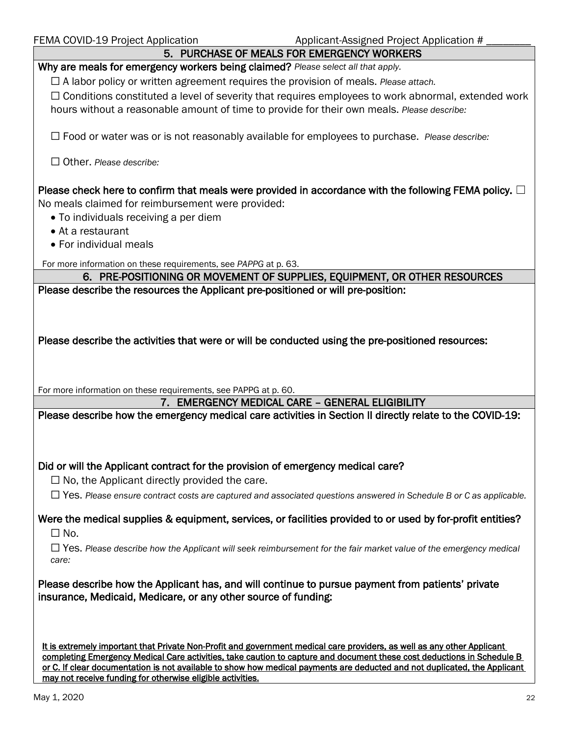| FEMA COVID-19 Project Application<br>Applicant-Assigned Project Application #                                                                                                                                                                       |
|-----------------------------------------------------------------------------------------------------------------------------------------------------------------------------------------------------------------------------------------------------|
| 5. PURCHASE OF MEALS FOR EMERGENCY WORKERS                                                                                                                                                                                                          |
| Why are meals for emergency workers being claimed? Please select all that apply.                                                                                                                                                                    |
| $\Box$ A labor policy or written agreement requires the provision of meals. Please attach.                                                                                                                                                          |
| $\Box$ Conditions constituted a level of severity that requires employees to work abnormal, extended work                                                                                                                                           |
| hours without a reasonable amount of time to provide for their own meals. Please describe:                                                                                                                                                          |
|                                                                                                                                                                                                                                                     |
| $\Box$ Food or water was or is not reasonably available for employees to purchase. Please describe:                                                                                                                                                 |
| $\Box$ Other. Please describe:                                                                                                                                                                                                                      |
|                                                                                                                                                                                                                                                     |
|                                                                                                                                                                                                                                                     |
| Please check here to confirm that meals were provided in accordance with the following FEMA policy. $\Box$                                                                                                                                          |
| No meals claimed for reimbursement were provided:                                                                                                                                                                                                   |
| • To individuals receiving a per diem                                                                                                                                                                                                               |
| • At a restaurant                                                                                                                                                                                                                                   |
| • For individual meals                                                                                                                                                                                                                              |
| For more information on these requirements, see PAPPG at p. 63.                                                                                                                                                                                     |
| 6. PRE-POSITIONING OR MOVEMENT OF SUPPLIES, EQUIPMENT, OR OTHER RESOURCES                                                                                                                                                                           |
| Please describe the resources the Applicant pre-positioned or will pre-position:                                                                                                                                                                    |
|                                                                                                                                                                                                                                                     |
|                                                                                                                                                                                                                                                     |
|                                                                                                                                                                                                                                                     |
| Please describe the activities that were or will be conducted using the pre-positioned resources:                                                                                                                                                   |
|                                                                                                                                                                                                                                                     |
|                                                                                                                                                                                                                                                     |
|                                                                                                                                                                                                                                                     |
| For more information on these requirements, see PAPPG at p. 60.                                                                                                                                                                                     |
| 7. EMERGENCY MEDICAL CARE - GENERAL ELIGIBILITY                                                                                                                                                                                                     |
| Please describe how the emergency medical care activities in Section II directly relate to the COVID-19:                                                                                                                                            |
|                                                                                                                                                                                                                                                     |
|                                                                                                                                                                                                                                                     |
|                                                                                                                                                                                                                                                     |
| Did or will the Applicant contract for the provision of emergency medical care?                                                                                                                                                                     |
| $\Box$ No, the Applicant directly provided the care.                                                                                                                                                                                                |
| $\Box$ Yes. Please ensure contract costs are captured and associated questions answered in Schedule B or C as applicable.                                                                                                                           |
|                                                                                                                                                                                                                                                     |
| Were the medical supplies & equipment, services, or facilities provided to or used by for-profit entities?                                                                                                                                          |
| $\square$ No.                                                                                                                                                                                                                                       |
| $\Box$ Yes. Please describe how the Applicant will seek reimbursement for the fair market value of the emergency medical                                                                                                                            |
| care:                                                                                                                                                                                                                                               |
|                                                                                                                                                                                                                                                     |
| Please describe how the Applicant has, and will continue to pursue payment from patients' private                                                                                                                                                   |
| insurance, Medicaid, Medicare, or any other source of funding:                                                                                                                                                                                      |
|                                                                                                                                                                                                                                                     |
|                                                                                                                                                                                                                                                     |
|                                                                                                                                                                                                                                                     |
|                                                                                                                                                                                                                                                     |
| It is extremely important that Private Non-Profit and government medical care providers, as well as any other Applicant                                                                                                                             |
| completing Emergency Medical Care activities, take caution to capture and document these cost deductions in Schedule B<br>or C. If clear documentation is not available to show how medical payments are deducted and not duplicated, the Applicant |

may not receive funding for otherwise eligible activities.

 $\overline{\phantom{0}}$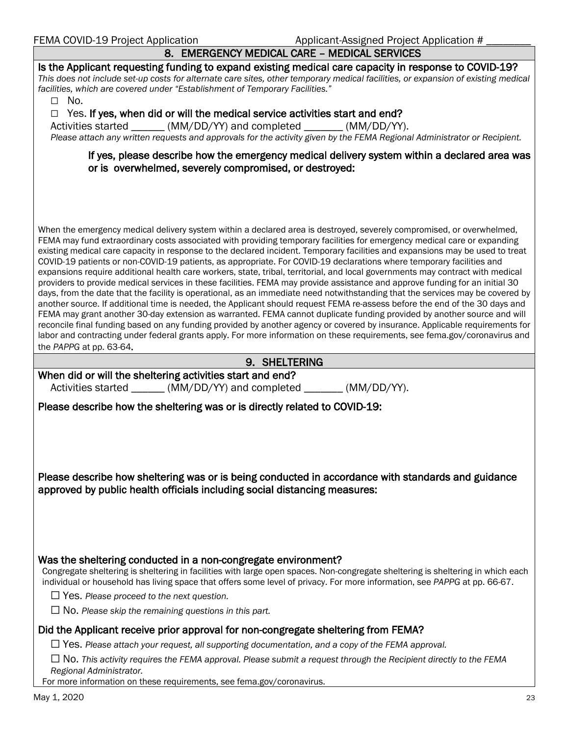| 8. EMERGENCY MEDICAL CARE - MEDICAL SERVICES                                                                                                                                                                                                                                                                                                                                                                                                                                                                                                                                                                                                                                                                                                                                                                                                                                                                                                                                                                                                                                                                                                                                                                                                                                                                                             |
|------------------------------------------------------------------------------------------------------------------------------------------------------------------------------------------------------------------------------------------------------------------------------------------------------------------------------------------------------------------------------------------------------------------------------------------------------------------------------------------------------------------------------------------------------------------------------------------------------------------------------------------------------------------------------------------------------------------------------------------------------------------------------------------------------------------------------------------------------------------------------------------------------------------------------------------------------------------------------------------------------------------------------------------------------------------------------------------------------------------------------------------------------------------------------------------------------------------------------------------------------------------------------------------------------------------------------------------|
| Is the Applicant requesting funding to expand existing medical care capacity in response to COVID-19?<br>This does not include set-up costs for alternate care sites, other temporary medical facilities, or expansion of existing medical<br>facilities, which are covered under "Establishment of Temporary Facilities."<br>$\square$ No.                                                                                                                                                                                                                                                                                                                                                                                                                                                                                                                                                                                                                                                                                                                                                                                                                                                                                                                                                                                              |
| Yes. If yes, when did or will the medical service activities start and end?<br>$\Box$<br>Activities started _______ (MM/DD/YY) and completed _______ (MM/DD/YY).<br>Please attach any written requests and approvals for the activity given by the FEMA Regional Administrator or Recipient.                                                                                                                                                                                                                                                                                                                                                                                                                                                                                                                                                                                                                                                                                                                                                                                                                                                                                                                                                                                                                                             |
| If yes, please describe how the emergency medical delivery system within a declared area was<br>or is overwhelmed, severely compromised, or destroyed:                                                                                                                                                                                                                                                                                                                                                                                                                                                                                                                                                                                                                                                                                                                                                                                                                                                                                                                                                                                                                                                                                                                                                                                   |
| When the emergency medical delivery system within a declared area is destroyed, severely compromised, or overwhelmed,                                                                                                                                                                                                                                                                                                                                                                                                                                                                                                                                                                                                                                                                                                                                                                                                                                                                                                                                                                                                                                                                                                                                                                                                                    |
| FEMA may fund extraordinary costs associated with providing temporary facilities for emergency medical care or expanding<br>existing medical care capacity in response to the declared incident. Temporary facilities and expansions may be used to treat<br>COVID-19 patients or non-COVID-19 patients, as appropriate. For COVID-19 declarations where temporary facilities and<br>expansions require additional health care workers, state, tribal, territorial, and local governments may contract with medical<br>providers to provide medical services in these facilities. FEMA may provide assistance and approve funding for an initial 30<br>days, from the date that the facility is operational, as an immediate need notwithstanding that the services may be covered by<br>another source. If additional time is needed, the Applicant should request FEMA re-assess before the end of the 30 days and<br>FEMA may grant another 30-day extension as warranted. FEMA cannot duplicate funding provided by another source and will<br>reconcile final funding based on any funding provided by another agency or covered by insurance. Applicable requirements for<br>labor and contracting under federal grants apply. For more information on these requirements, see fema.gov/coronavirus and<br>the PAPPG at pp. 63-64. |
| 9. SHELTERING                                                                                                                                                                                                                                                                                                                                                                                                                                                                                                                                                                                                                                                                                                                                                                                                                                                                                                                                                                                                                                                                                                                                                                                                                                                                                                                            |
| When did or will the sheltering activities start and end?<br>Activities started ______ (MM/DD/YY) and completed ______ (MM/DD/YY).                                                                                                                                                                                                                                                                                                                                                                                                                                                                                                                                                                                                                                                                                                                                                                                                                                                                                                                                                                                                                                                                                                                                                                                                       |
| Please describe how the sheltering was or is directly related to COVID-19:                                                                                                                                                                                                                                                                                                                                                                                                                                                                                                                                                                                                                                                                                                                                                                                                                                                                                                                                                                                                                                                                                                                                                                                                                                                               |
|                                                                                                                                                                                                                                                                                                                                                                                                                                                                                                                                                                                                                                                                                                                                                                                                                                                                                                                                                                                                                                                                                                                                                                                                                                                                                                                                          |
| Please describe how sheltering was or is being conducted in accordance with standards and guidance<br>approved by public health officials including social distancing measures:                                                                                                                                                                                                                                                                                                                                                                                                                                                                                                                                                                                                                                                                                                                                                                                                                                                                                                                                                                                                                                                                                                                                                          |
| Was the sheltering conducted in a non-congregate environment?<br>Congregate sheltering is sheltering in facilities with large open spaces. Non-congregate sheltering is sheltering in which each<br>individual or household has living space that offers some level of privacy. For more information, see PAPPG at pp. 66-67.                                                                                                                                                                                                                                                                                                                                                                                                                                                                                                                                                                                                                                                                                                                                                                                                                                                                                                                                                                                                            |
| $\Box$ Yes. Please proceed to the next question.                                                                                                                                                                                                                                                                                                                                                                                                                                                                                                                                                                                                                                                                                                                                                                                                                                                                                                                                                                                                                                                                                                                                                                                                                                                                                         |
| $\Box$ No. Please skip the remaining questions in this part.                                                                                                                                                                                                                                                                                                                                                                                                                                                                                                                                                                                                                                                                                                                                                                                                                                                                                                                                                                                                                                                                                                                                                                                                                                                                             |
| Did the Applicant receive prior approval for non-congregate sheltering from FEMA?                                                                                                                                                                                                                                                                                                                                                                                                                                                                                                                                                                                                                                                                                                                                                                                                                                                                                                                                                                                                                                                                                                                                                                                                                                                        |
| $\Box$ Yes. Please attach your request, all supporting documentation, and a copy of the FEMA approval.                                                                                                                                                                                                                                                                                                                                                                                                                                                                                                                                                                                                                                                                                                                                                                                                                                                                                                                                                                                                                                                                                                                                                                                                                                   |
| $\Box$ No. This activity requires the FEMA approval. Please submit a request through the Recipient directly to the FEMA<br>Regional Administrator.<br>For more information on these requirements, see fema.gov/coronavirus.                                                                                                                                                                                                                                                                                                                                                                                                                                                                                                                                                                                                                                                                                                                                                                                                                                                                                                                                                                                                                                                                                                              |
| May 1, 2020<br>23                                                                                                                                                                                                                                                                                                                                                                                                                                                                                                                                                                                                                                                                                                                                                                                                                                                                                                                                                                                                                                                                                                                                                                                                                                                                                                                        |
|                                                                                                                                                                                                                                                                                                                                                                                                                                                                                                                                                                                                                                                                                                                                                                                                                                                                                                                                                                                                                                                                                                                                                                                                                                                                                                                                          |

FEMA COVID-19 Project Application Applicant-Assigned Project Application # \_\_\_\_\_\_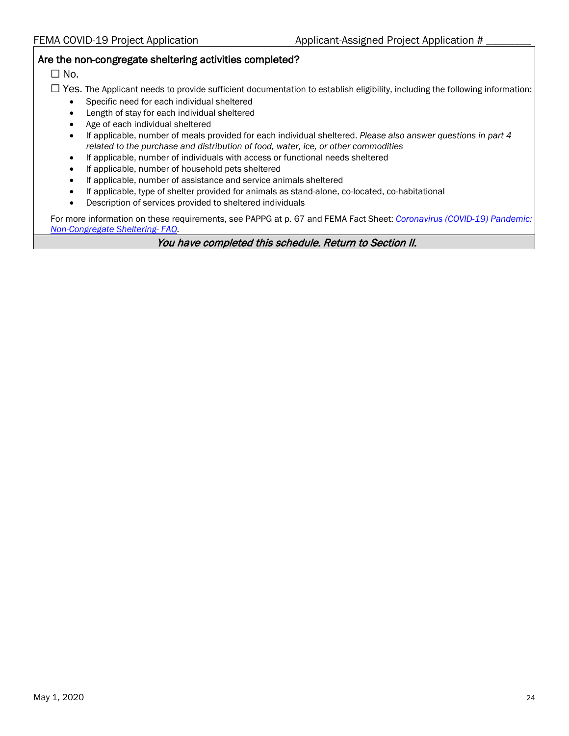#### Are the non-congregate sheltering activities completed?

 $\square$  No.

- ☐ Yes. The Applicant needs to provide sufficient documentation to establish eligibility, including the following information:
	- Specific need for each individual sheltered
	- Length of stay for each individual sheltered
	- Age of each individual sheltered
	- If applicable, number of meals provided for each individual sheltered. *Please also answer questions in part 4 related to the purchase and distribution of food, water, ice, or other commodities*
	- If applicable, number of individuals with access or functional needs sheltered
	- If applicable, number of household pets sheltered
	- If applicable, number of assistance and service animals sheltered
	- If applicable, type of shelter provided for animals as stand-alone, co-located, co-habitational
	- Description of services provided to sheltered individuals

For more information on these requirements, see PAPPG at p. 67 and FEMA Fact Sheet: *[Coronavirus \(COVID-19\) Pandemic:](https://www.fema.gov/news-release/2020/03/31/coronavirus-covid-19-pandemic-non-congregate-sheltering) [Non-Congregate Sheltering-](https://www.fema.gov/news-release/2020/03/31/coronavirus-covid-19-pandemic-non-congregate-sheltering) FAQ.*

You have completed this schedule. Return to Section II.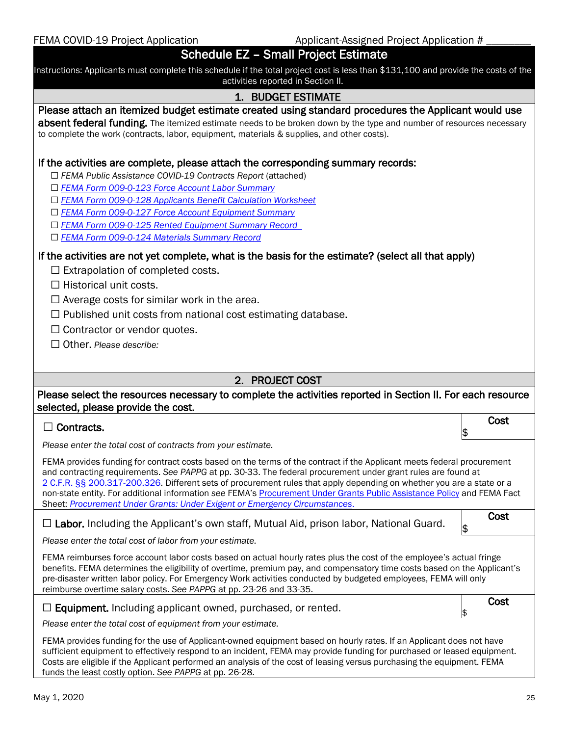FEMA COVID-19 Project Application Applicant-Assigned Project Application #

### Schedule EZ – Small Project Estimate

Instructions: Applicants must complete this schedule if the total project cost is less than \$131,100 and provide the costs of the activities reported in Section II.

#### 1. BUDGET ESTIMATE

#### Please attach an itemized budget estimate created using standard procedures the Applicant would use

absent federal funding. The itemized estimate needs to be broken down by the type and number of resources necessary to complete the work (contracts, labor, equipment, materials & supplies, and other costs).

#### If the activities are complete, please attach the corresponding summary records:

☐ *FEMA Public Assistance COVID-19 Contracts Report* (attached)

- ☐ *[FEMA Form 009-0-123 Force Account Labor Summary](https://www.fema.gov/media-library/assets/documents/10588)*
- ☐ *[FEMA Form 009-0-128 Applicants Benefit Calculation Worksheet](https://www.fema.gov/media-library/assets/documents/10611)*
- ☐ *[FEMA Form 009-0-127 Force Account Equipment Summary](https://www.fema.gov/media-library-data/1525884967567-10c6cbc7410ae830e2635c8214b686a0/FEMAForm009_0_127_FAE.pdf)*
- ☐ *[FEMA Form 009-0-125 Rented Equipment Summary Record](https://www.fema.gov/media-library/assets/documents/10597)*
- ☐ *[FEMA Form 009-0-124 Materials Summary Record](https://www.fema.gov/media-library/assets/documents/10592)*

#### If the activities are not yet complete, what is the basis for the estimate? (select all that apply)

 $\Box$  Extrapolation of completed costs.

□ Historical unit costs.

 $\Box$  Average costs for similar work in the area.

- $\Box$  Published unit costs from national cost estimating database.
- $\Box$  Contractor or vendor quotes.
- ☐ Other. *Please describe:*

#### 2. PROJECT COST

#### Please select the resources necessary to complete the activities reported in Section II. For each resource selected, please provide the cost.

#### ☐ Contracts.

*Please enter the total cost of contracts from your estimate.*

FEMA provides funding for contract costs based on the terms of the contract if the Applicant meets federal procurement and contracting requirements. *See PAPPG* at pp. 30-33. The federal procurement under grant rules are found at 2 C.F.R. §§ [200.317-200.326.](https://www.ecfr.gov/cgi-bin/text-idx?SID=8fa2890df66fb12d1701cb29979f6231&mc=true&node=sg2.1.200_1316.sg3&rgn=div7) Different sets of procurement rules that apply depending on whether you are a state or a non-state entity. For additional information *see* FEMA's [Procurement Under Grants Public Assistance Policy](https://www.fema.gov/media-library/assets/documents/96773V2) and FEMA Fact Sheet: *[Procurement Under Grants: Under Exigent or Emergency Circumstances](https://www.fema.gov/media-library/assets/documents/186350)*.

☐ Labor. Including the Applicant's own staff, Mutual Aid, prison labor, National Guard. Cost

*Please enter the total cost of labor from your estimate.*

FEMA reimburses force account labor costs based on actual hourly rates plus the cost of the employee's actual fringe benefits. FEMA determines the eligibility of overtime, premium pay, and compensatory time costs based on the Applicant's pre-disaster written labor policy. For Emergency Work activities conducted by budgeted employees, FEMA will only reimburse overtime salary costs. *See PAPPG* at pp. 23-26 and 33-35.

 $\Box$  Equipment. Including applicant owned, purchased, or rented.

**Cost** 

\$

\$

*Please enter the total cost of equipment from your estimate.*

FEMA provides funding for the use of Applicant-owned equipment based on hourly rates. If an Applicant does not have sufficient equipment to effectively respond to an incident, FEMA may provide funding for purchased or leased equipment. Costs are eligible if the Applicant performed an analysis of the cost of leasing versus purchasing the equipment. FEMA funds the least costly option. *See PAPPG* at pp. 26-28.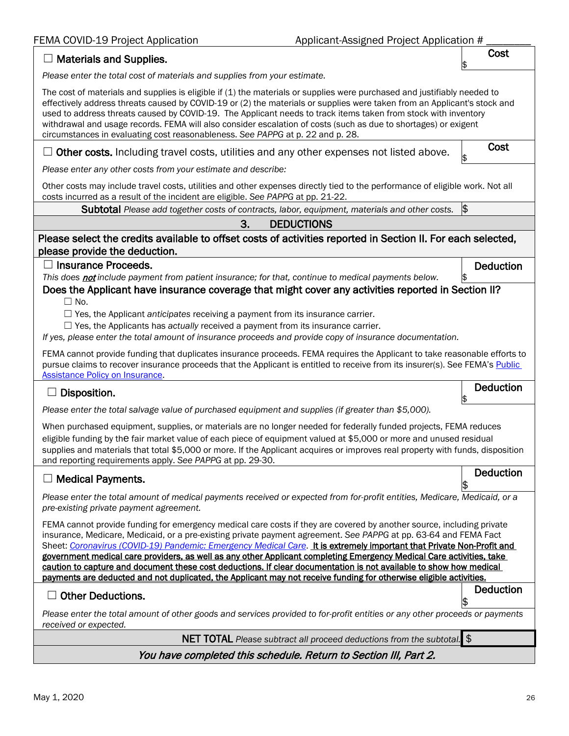FEMA COVID-19 Project Application Applicant-Assigned Project Application #

| <b>Materials and Supplies.</b>                                                                                                                                                                                                                                                                                                                                                                                                                                                                                                                                                                                                                                                                                                         | Cost             |
|----------------------------------------------------------------------------------------------------------------------------------------------------------------------------------------------------------------------------------------------------------------------------------------------------------------------------------------------------------------------------------------------------------------------------------------------------------------------------------------------------------------------------------------------------------------------------------------------------------------------------------------------------------------------------------------------------------------------------------------|------------------|
| Please enter the total cost of materials and supplies from your estimate.                                                                                                                                                                                                                                                                                                                                                                                                                                                                                                                                                                                                                                                              |                  |
| The cost of materials and supplies is eligible if (1) the materials or supplies were purchased and justifiably needed to<br>effectively address threats caused by COVID-19 or (2) the materials or supplies were taken from an Applicant's stock and<br>used to address threats caused by COVID-19. The Applicant needs to track items taken from stock with inventory<br>withdrawal and usage records. FEMA will also consider escalation of costs (such as due to shortages) or exigent<br>circumstances in evaluating cost reasonableness. See PAPPG at p. 22 and p. 28.                                                                                                                                                            |                  |
| Other costs. Including travel costs, utilities and any other expenses not listed above.                                                                                                                                                                                                                                                                                                                                                                                                                                                                                                                                                                                                                                                | Cost<br>\$       |
| Please enter any other costs from your estimate and describe:                                                                                                                                                                                                                                                                                                                                                                                                                                                                                                                                                                                                                                                                          |                  |
| Other costs may include travel costs, utilities and other expenses directly tied to the performance of eligible work. Not all<br>costs incurred as a result of the incident are eligible. See PAPPG at pp. 21-22.                                                                                                                                                                                                                                                                                                                                                                                                                                                                                                                      |                  |
| <b>Subtotal</b> Please add together costs of contracts, labor, equipment, materials and other costs.                                                                                                                                                                                                                                                                                                                                                                                                                                                                                                                                                                                                                                   | $\frac{1}{2}$    |
| 3.<br><b>DEDUCTIONS</b>                                                                                                                                                                                                                                                                                                                                                                                                                                                                                                                                                                                                                                                                                                                |                  |
| Please select the credits available to offset costs of activities reported in Section II. For each selected,<br>please provide the deduction.                                                                                                                                                                                                                                                                                                                                                                                                                                                                                                                                                                                          |                  |
| $\Box$ Insurance Proceeds.<br>This does not include payment from patient insurance; for that, continue to medical payments below.<br>Does the Applicant have insurance coverage that might cover any activities reported in Section II?                                                                                                                                                                                                                                                                                                                                                                                                                                                                                                | <b>Deduction</b> |
| $\Box$ No.<br>$\Box$ Yes, the Applicant anticipates receiving a payment from its insurance carrier.<br>$\Box$ Yes, the Applicants has actually received a payment from its insurance carrier.<br>If yes, please enter the total amount of insurance proceeds and provide copy of insurance documentation.<br>FEMA cannot provide funding that duplicates insurance proceeds. FEMA requires the Applicant to take reasonable efforts to                                                                                                                                                                                                                                                                                                 |                  |
| pursue claims to recover insurance proceeds that the Applicant is entitled to receive from its insurer(s). See FEMA's Public<br><b>Assistance Policy on Insurance.</b><br><b>Deduction</b>                                                                                                                                                                                                                                                                                                                                                                                                                                                                                                                                             |                  |
| Disposition.                                                                                                                                                                                                                                                                                                                                                                                                                                                                                                                                                                                                                                                                                                                           |                  |
| Please enter the total salvage value of purchased equipment and supplies (if greater than \$5,000).                                                                                                                                                                                                                                                                                                                                                                                                                                                                                                                                                                                                                                    |                  |
| When purchased equipment, supplies, or materials are no longer needed for federally funded projects, FEMA reduces<br>eligible funding by the fair market value of each piece of equipment valued at \$5,000 or more and unused residual<br>supplies and materials that total \$5,000 or more. If the Applicant acquires or improves real property with funds, disposition<br>and reporting requirements apply. See PAPPG at pp. 29-30.                                                                                                                                                                                                                                                                                                 |                  |
| <b>Medical Payments.</b>                                                                                                                                                                                                                                                                                                                                                                                                                                                                                                                                                                                                                                                                                                               | <b>Deduction</b> |
| Please enter the total amount of medical payments received or expected from for-profit entities, Medicare, Medicaid, or a<br>pre-existing private payment agreement.                                                                                                                                                                                                                                                                                                                                                                                                                                                                                                                                                                   |                  |
| FEMA cannot provide funding for emergency medical care costs if they are covered by another source, including private<br>insurance, Medicare, Medicaid, or a pre-existing private payment agreement. See PAPPG at pp. 63-64 and FEMA Fact<br>Sheet: Coronavirus (COVID-19) Pandemic: Emergency Medical Care. It is extremely important that Private Non-Profit and<br>government medical care providers, as well as any other Applicant completing Emergency Medical Care activities, take<br>caution to capture and document these cost deductions. If clear documentation is not available to show how medical<br>payments are deducted and not duplicated, the Applicant may not receive funding for otherwise eligible activities. |                  |
| <b>Other Deductions.</b>                                                                                                                                                                                                                                                                                                                                                                                                                                                                                                                                                                                                                                                                                                               | <b>Deduction</b> |
| Please enter the total amount of other goods and services provided to for-profit entities or any other proceeds or payments<br>received or expected.                                                                                                                                                                                                                                                                                                                                                                                                                                                                                                                                                                                   | \$               |
| NET TOTAL Please subtract all proceed deductions from the subtotal. \$                                                                                                                                                                                                                                                                                                                                                                                                                                                                                                                                                                                                                                                                 |                  |
| You have completed this schedule. Return to Section III, Part 2.                                                                                                                                                                                                                                                                                                                                                                                                                                                                                                                                                                                                                                                                       |                  |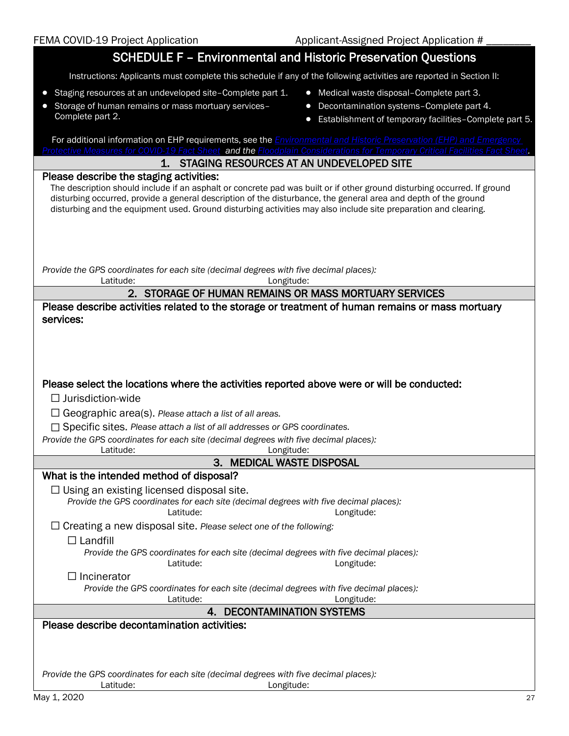# SCHEDULE F – Environmental and Historic Preservation Questions

Instructions: Applicants must complete this schedule if any of the following activities are reported in Section II:

- Staging resources at an undeveloped site–Complete part 1.
- Storage of human remains or mass mortuary services– Complete part 2.
- Medical waste disposal–Complete part 3.
- Decontamination systems–Complete part 4.
- Establishment of temporary facilities–Complete part 5.

| For additional information on EHP requirements, see the <i>Environmental and Historic Preservation (EHP) and Emergency</i><br>Protective Measures for COVID-19 Fact Sheet and the Floodplain Considerations for Temporary Critical Facilities Fact Sheet.                                                                                                                                                 |
|-----------------------------------------------------------------------------------------------------------------------------------------------------------------------------------------------------------------------------------------------------------------------------------------------------------------------------------------------------------------------------------------------------------|
| 1. STAGING RESOURCES AT AN UNDEVELOPED SITE                                                                                                                                                                                                                                                                                                                                                               |
| Please describe the staging activities:<br>The description should include if an asphalt or concrete pad was built or if other ground disturbing occurred. If ground<br>disturbing occurred, provide a general description of the disturbance, the general area and depth of the ground<br>disturbing and the equipment used. Ground disturbing activities may also include site preparation and clearing. |
| Provide the GPS coordinates for each site (decimal degrees with five decimal places):<br>Latitude:<br>Longitude:                                                                                                                                                                                                                                                                                          |
| 2. STORAGE OF HUMAN REMAINS OR MASS MORTUARY SERVICES                                                                                                                                                                                                                                                                                                                                                     |
| Please describe activities related to the storage or treatment of human remains or mass mortuary<br>services:                                                                                                                                                                                                                                                                                             |
| Please select the locations where the activities reported above were or will be conducted:<br>$\Box$ Jurisdiction-wide<br>$\Box$ Geographic area(s). Please attach a list of all areas.<br>$\Box$ Specific sites. Please attach a list of all addresses or GPS coordinates.<br>Provide the GPS coordinates for each site (decimal degrees with five decimal places):<br>Latitude:<br>Longitude:           |
| 3. MEDICAL WASTE DISPOSAL                                                                                                                                                                                                                                                                                                                                                                                 |
| What is the intended method of disposal?                                                                                                                                                                                                                                                                                                                                                                  |
| $\Box$ Using an existing licensed disposal site.<br>Provide the GPS coordinates for each site (decimal degrees with five decimal places):<br>Latitude:<br>Longitude:<br>$\Box$ Creating a new disposal site. Please select one of the following:                                                                                                                                                          |
| $\Box$ Landfill<br>Provide the GPS coordinates for each site (decimal degrees with five decimal places):<br>Latitude:<br>Longitude:                                                                                                                                                                                                                                                                       |
| Incinerator<br>Provide the GPS coordinates for each site (decimal degrees with five decimal places):<br>Latitude:<br>Longitude:                                                                                                                                                                                                                                                                           |
| 4. DECONTAMINATION SYSTEMS                                                                                                                                                                                                                                                                                                                                                                                |
| Please describe decontamination activities:<br>Provide the GPS coordinates for each site (decimal degrees with five decimal places):<br>Latitude:<br>Longitude:                                                                                                                                                                                                                                           |
| May 1, 2020<br>27                                                                                                                                                                                                                                                                                                                                                                                         |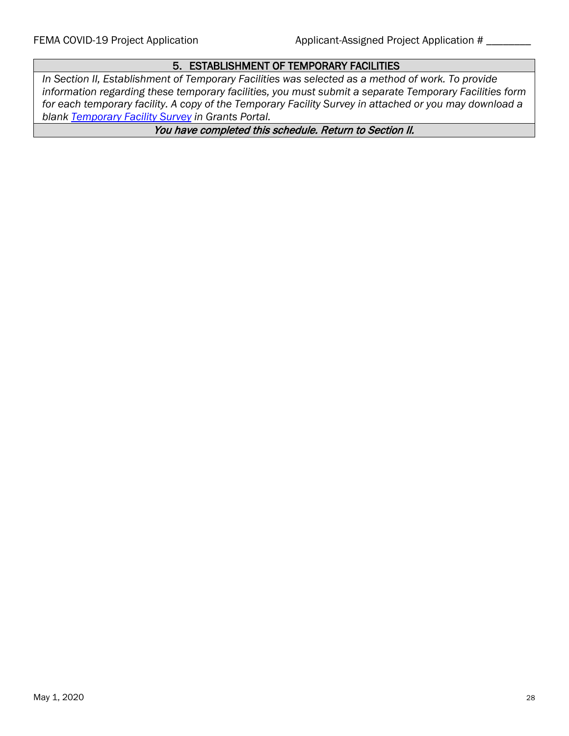### 5. ESTABLISHMENT OF TEMPORARY FACILITIES

*In Section II, Establishment of Temporary Facilities was selected as a method of work. To provide information regarding these temporary facilities, you must submit a separate Temporary Facilities form for each temporary facility. A copy of the Temporary Facility Survey in attached or you may download a blank [Temporary Facility Survey](https://grantsmanager-uat-site.azurewebsites.net/Content/files/PA%20Temporary%20Facility%20Survey%2020200427.pdf) in Grants Portal.*

You have completed this schedule. Return to Section II.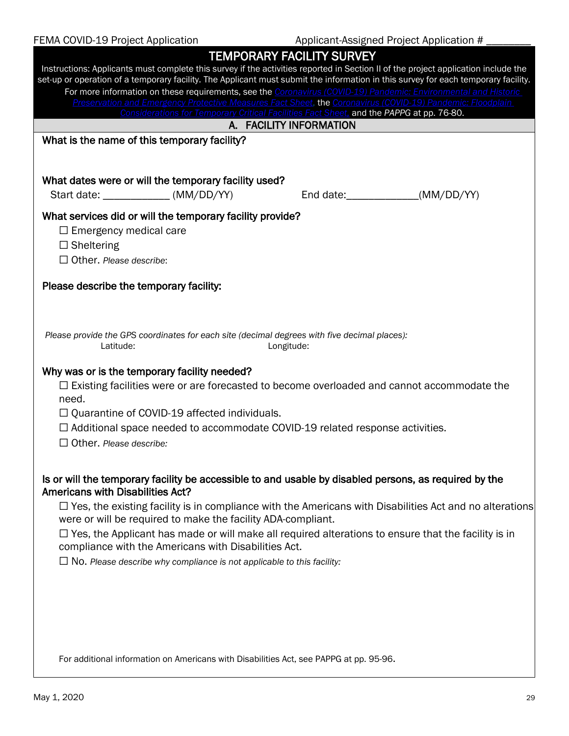| FEMA COVID-19 Project Application                                                                                                  | Applicant-Assigned Project Application #                                                                            |
|------------------------------------------------------------------------------------------------------------------------------------|---------------------------------------------------------------------------------------------------------------------|
|                                                                                                                                    | <b>TEMPORARY FACILITY SURVEY</b>                                                                                    |
| Instructions: Applicants must complete this survey if the activities reported in Section II of the project application include the |                                                                                                                     |
| set-up or operation of a temporary facility. The Applicant must submit the information in this survey for each temporary facility. |                                                                                                                     |
|                                                                                                                                    | For more information on these requirements, see the Coronavirus (COVID-19) Pandemic: Environmental and Historic     |
|                                                                                                                                    | Preservation and Emergency Protective Measures Fact Sheet, the Coronavirus (COVID-19) Pandemic: Floodplain          |
|                                                                                                                                    | Considerations for Temporary Critical Facilities Fact Sheet, and the PAPPG at pp. 76-80.<br>A. FACILITY INFORMATION |
|                                                                                                                                    |                                                                                                                     |
| What is the name of this temporary facility?                                                                                       |                                                                                                                     |
|                                                                                                                                    |                                                                                                                     |
| What dates were or will the temporary facility used?                                                                               |                                                                                                                     |
|                                                                                                                                    |                                                                                                                     |
| Start date: _____________ (MM/DD/YY)                                                                                               | End date: _______________(MM/DD/YY)                                                                                 |
| What services did or will the temporary facility provide?                                                                          |                                                                                                                     |
| $\Box$ Emergency medical care                                                                                                      |                                                                                                                     |
| $\Box$ Sheltering                                                                                                                  |                                                                                                                     |
| $\Box$ Other, Please describe:                                                                                                     |                                                                                                                     |
|                                                                                                                                    |                                                                                                                     |
| Please describe the temporary facility:                                                                                            |                                                                                                                     |
|                                                                                                                                    |                                                                                                                     |
|                                                                                                                                    |                                                                                                                     |
|                                                                                                                                    |                                                                                                                     |
| Please provide the GPS coordinates for each site (decimal degrees with five decimal places):                                       |                                                                                                                     |
| Latitude:<br>Longitude:                                                                                                            |                                                                                                                     |
| Why was or is the temporary facility needed?                                                                                       |                                                                                                                     |
| $\Box$ Existing facilities were or are forecasted to become overloaded and cannot accommodate the                                  |                                                                                                                     |
| need.                                                                                                                              |                                                                                                                     |
| $\Box$ Quarantine of COVID-19 affected individuals.                                                                                |                                                                                                                     |
|                                                                                                                                    |                                                                                                                     |
| $\Box$ Additional space needed to accommodate COVID-19 related response activities.                                                |                                                                                                                     |
| $\Box$ Other, Please describe:                                                                                                     |                                                                                                                     |
|                                                                                                                                    |                                                                                                                     |
| Is or will the temporary facility be accessible to and usable by disabled persons, as required by the                              |                                                                                                                     |
| <b>Americans with Disabilities Act?</b>                                                                                            |                                                                                                                     |
|                                                                                                                                    | $\Box$ Yes, the existing facility is in compliance with the Americans with Disabilities Act and no alterations      |
| were or will be required to make the facility ADA-compliant.                                                                       |                                                                                                                     |
| $\Box$ Yes, the Applicant has made or will make all required alterations to ensure that the facility is in                         |                                                                                                                     |
| compliance with the Americans with Disabilities Act.                                                                               |                                                                                                                     |
| $\Box$ No. Please describe why compliance is not applicable to this facility:                                                      |                                                                                                                     |
|                                                                                                                                    |                                                                                                                     |
|                                                                                                                                    |                                                                                                                     |
|                                                                                                                                    |                                                                                                                     |
|                                                                                                                                    |                                                                                                                     |
|                                                                                                                                    |                                                                                                                     |
|                                                                                                                                    |                                                                                                                     |
| For additional information on Americans with Disabilities Act, see PAPPG at pp. 95-96.                                             |                                                                                                                     |
|                                                                                                                                    |                                                                                                                     |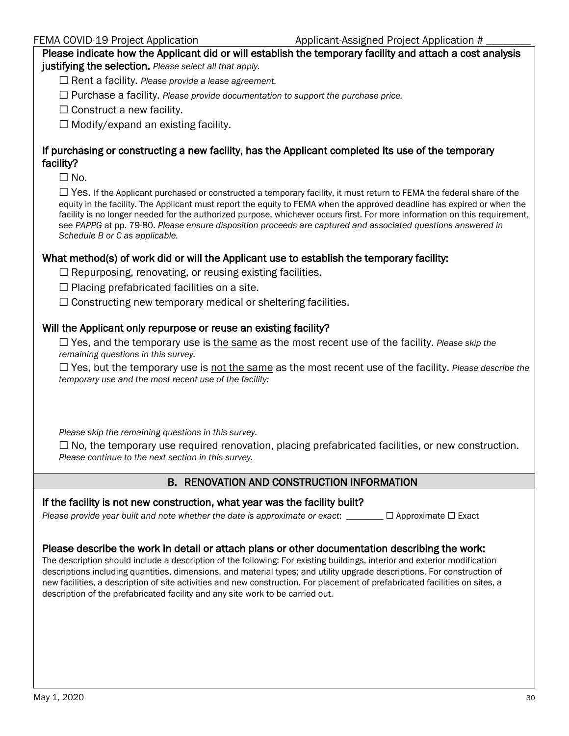Please indicate how the Applicant did or will establish the temporary facility and attach a cost analysis justifying the selection. *Please select all that apply.*

☐ Rent a facility. *Please provide a lease agreement.*

☐ Purchase a facility. *Please provide documentation to support the purchase price.*

 $\Box$  Construct a new facility.

 $\Box$  Modify/expand an existing facility.

### If purchasing or constructing a new facility, has the Applicant completed its use of the temporary facility?

 $\Box$  No.

 $\Box$  Yes. If the Applicant purchased or constructed a temporary facility, it must return to FEMA the federal share of the equity in the facility. The Applicant must report the equity to FEMA when the approved deadline has expired or when the facility is no longer needed for the authorized purpose, whichever occurs first. For more information on this requirement, see *PAPPG* at pp. 79-80. *Please ensure disposition proceeds are captured and associated questions answered in Schedule B or C as applicable.*

#### What method(s) of work did or will the Applicant use to establish the temporary facility:

 $\Box$  Repurposing, renovating, or reusing existing facilities.

 $\Box$  Placing prefabricated facilities on a site.

 $\Box$  Constructing new temporary medical or sheltering facilities.

#### Will the Applicant only repurpose or reuse an existing facility?

☐ Yes, and the temporary use is the same as the most recent use of the facility. *Please skip the remaining questions in this survey.*

☐ Yes, but the temporary use is not the same as the most recent use of the facility. *Please describe the temporary use and the most recent use of the facility:*

*Please skip the remaining questions in this survey.*

 $\Box$  No, the temporary use required renovation, placing prefabricated facilities, or new construction. *Please continue to the next section in this survey.*

### B. RENOVATION AND CONSTRUCTION INFORMATION

#### If the facility is not new construction, what year was the facility built?

*Please provide year built and note whether the date is approximate or exact:* □ △ Approximate □ Exact

#### Please describe the work in detail or attach plans or other documentation describing the work:

The description should include a description of the following: For existing buildings, interior and exterior modification descriptions including quantities, dimensions, and material types; and utility upgrade descriptions. For construction of new facilities, a description of site activities and new construction. For placement of prefabricated facilities on sites, a description of the prefabricated facility and any site work to be carried out.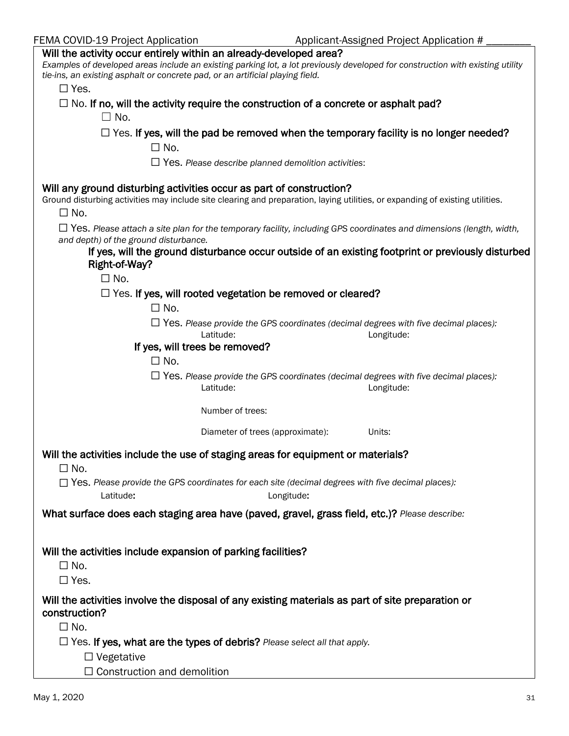| FEMA COVID-19 Project Application |
|-----------------------------------|
|-----------------------------------|

| Will the activity occur entirely within an already-developed area?                                                                                                                                                     |
|------------------------------------------------------------------------------------------------------------------------------------------------------------------------------------------------------------------------|
| Examples of developed areas include an existing parking lot, a lot previously developed for construction with existing utility<br>tie-ins, an existing asphalt or concrete pad, or an artificial playing field.        |
| $\Box$ Yes.                                                                                                                                                                                                            |
| $\Box$ No. If no, will the activity require the construction of a concrete or asphalt pad?                                                                                                                             |
| $\square$ No.                                                                                                                                                                                                          |
|                                                                                                                                                                                                                        |
| $\Box$ Yes. If yes, will the pad be removed when the temporary facility is no longer needed?                                                                                                                           |
| $\square$ No.                                                                                                                                                                                                          |
| $\Box$ Yes. Please describe planned demolition activities:                                                                                                                                                             |
| Will any ground disturbing activities occur as part of construction?<br>Ground disturbing activities may include site clearing and preparation, laying utilities, or expanding of existing utilities.<br>$\square$ No. |
| $\Box$ Yes. Please attach a site plan for the temporary facility, including GPS coordinates and dimensions (length, width,<br>and depth) of the ground disturbance.                                                    |
| If yes, will the ground disturbance occur outside of an existing footprint or previously disturbed<br>Right-of-Way?                                                                                                    |
| $\square$ No.                                                                                                                                                                                                          |
| $\Box$ Yes. If yes, will rooted vegetation be removed or cleared?                                                                                                                                                      |
| $\Box$ No.                                                                                                                                                                                                             |
|                                                                                                                                                                                                                        |
| $\Box$ Yes. Please provide the GPS coordinates (decimal degrees with five decimal places):<br>Latitude:<br>Longitude:                                                                                                  |
| If yes, will trees be removed?                                                                                                                                                                                         |
| $\square$ No.                                                                                                                                                                                                          |
| $\Box$ Yes. Please provide the GPS coordinates (decimal degrees with five decimal places):<br>Latitude:<br>Longitude:                                                                                                  |
| Number of trees:                                                                                                                                                                                                       |
| Diameter of trees (approximate):<br>Units:                                                                                                                                                                             |
| Will the activities include the use of staging areas for equipment or materials?<br>$\square$ No.                                                                                                                      |
| $\Box$ Yes. Please provide the GPS coordinates for each site (decimal degrees with five decimal places):<br>Latitude:<br>Longitude:                                                                                    |
| What surface does each staging area have (paved, gravel, grass field, etc.)? Please describe:                                                                                                                          |
|                                                                                                                                                                                                                        |
|                                                                                                                                                                                                                        |
| Will the activities include expansion of parking facilities?                                                                                                                                                           |
| $\square$ No.                                                                                                                                                                                                          |
| $\square$ Yes.                                                                                                                                                                                                         |
| Will the activities involve the disposal of any existing materials as part of site preparation or<br>construction?                                                                                                     |
| $\square$ No.                                                                                                                                                                                                          |
| $\Box$ Yes. If yes, what are the types of debris? Please select all that apply.                                                                                                                                        |
| $\Box$ Vegetative                                                                                                                                                                                                      |
| $\Box$ Construction and demolition                                                                                                                                                                                     |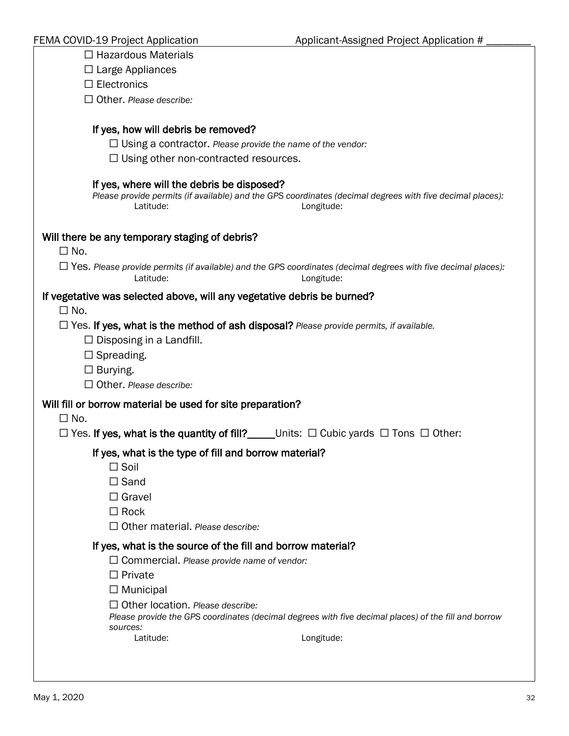| $\Box$ Hazardous Materials                                                                                                                                                                                                                                                                                                                       |
|--------------------------------------------------------------------------------------------------------------------------------------------------------------------------------------------------------------------------------------------------------------------------------------------------------------------------------------------------|
| $\Box$ Large Appliances                                                                                                                                                                                                                                                                                                                          |
| $\Box$ Electronics                                                                                                                                                                                                                                                                                                                               |
| $\Box$ Other. Please describe:                                                                                                                                                                                                                                                                                                                   |
|                                                                                                                                                                                                                                                                                                                                                  |
| If yes, how will debris be removed?                                                                                                                                                                                                                                                                                                              |
| $\Box$ Using a contractor. Please provide the name of the vendor:                                                                                                                                                                                                                                                                                |
| $\Box$ Using other non-contracted resources.                                                                                                                                                                                                                                                                                                     |
| If yes, where will the debris be disposed?<br>Please provide permits (if available) and the GPS coordinates (decimal degrees with five decimal places):<br>Latitude:<br>Longitude:                                                                                                                                                               |
| Will there be any temporary staging of debris?<br>$\Box$ No.                                                                                                                                                                                                                                                                                     |
| $\Box$ Yes. Please provide permits (if available) and the GPS coordinates (decimal degrees with five decimal places):<br>Latitude:<br>Longitude:                                                                                                                                                                                                 |
| If vegetative was selected above, will any vegetative debris be burned?<br>$\Box$ No.                                                                                                                                                                                                                                                            |
| $\Box$ Yes. If yes, what is the method of ash disposal? Please provide permits, if available.<br>$\Box$ Disposing in a Landfill.<br>$\Box$ Spreading.<br>$\Box$ Burying.<br>$\Box$ Other. Please describe:                                                                                                                                       |
| Will fill or borrow material be used for site preparation?                                                                                                                                                                                                                                                                                       |
| $\Box$ No.                                                                                                                                                                                                                                                                                                                                       |
| $\Box$ Yes. If yes, what is the quantity of fill? Units: $\Box$ Cubic yards $\Box$ Tons $\Box$ Other:                                                                                                                                                                                                                                            |
| If yes, what is the type of fill and borrow material?<br>$\Box$ Soil<br>$\Box$ Sand<br>$\Box$ Gravel<br>$\Box$ Rock<br>$\Box$ Other material. Please describe:                                                                                                                                                                                   |
| If yes, what is the source of the fill and borrow material?<br>$\Box$ Commercial. Please provide name of vendor:<br>$\Box$ Private<br>$\Box$ Municipal<br>$\Box$ Other location. Please describe:<br>Please provide the GPS coordinates (decimal degrees with five decimal places) of the fill and borrow<br>sources:<br>Latitude:<br>Longitude: |
|                                                                                                                                                                                                                                                                                                                                                  |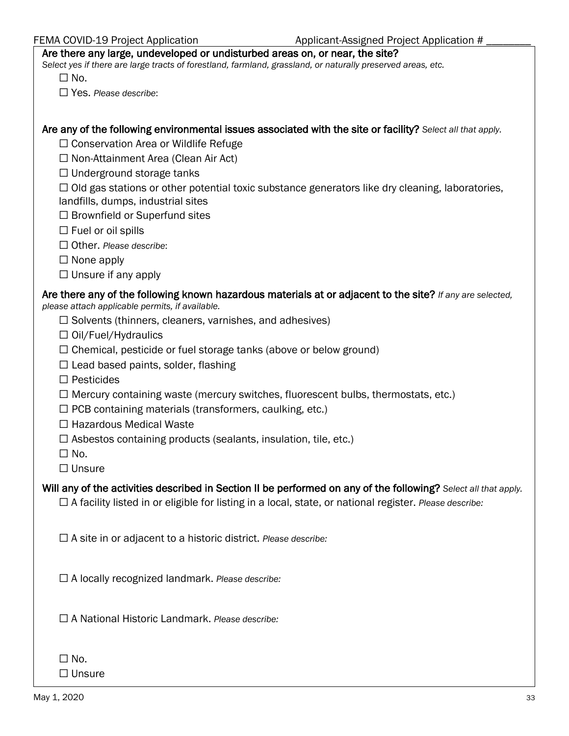| FEMA COVID-19 Project Application |
|-----------------------------------|
|-----------------------------------|

#### Are there any large, undeveloped or undisturbed areas on, or near, the site?

*Select yes if there are large tracts of forestland, farmland, grassland, or naturally preserved areas, etc.*

 $\square$  No.

☐ Yes. *Please describe*:

Are any of the following environmental issues associated with the site or facility? *Select all that apply.*

☐ Conservation Area or Wildlife Refuge

☐ Non-Attainment Area (Clean Air Act)

☐ Underground storage tanks

 $\Box$  Old gas stations or other potential toxic substance generators like dry cleaning, laboratories, landfills, dumps, industrial sites

□ Brownfield or Superfund sites

 $\Box$  Fuel or oil spills

☐ Other. *Please describe*:

☐ None apply

☐ Unsure if any apply

# Are there any of the following known hazardous materials at or adjacent to the site? *If any are selected,*

*please attach applicable permits, if available.*

- $\Box$  Solvents (thinners, cleaners, varnishes, and adhesives)
- ☐ Oil/Fuel/Hydraulics
- $\Box$  Chemical, pesticide or fuel storage tanks (above or below ground)
- $\Box$  Lead based paints, solder, flashing
- ☐ Pesticides
- $\Box$  Mercury containing waste (mercury switches, fluorescent bulbs, thermostats, etc.)
- $\Box$  PCB containing materials (transformers, caulking, etc.)
- ☐ Hazardous Medical Waste
- $\Box$  Asbestos containing products (sealants, insulation, tile, etc.)

 $\Box$  No.

☐ Unsure

Will any of the activities described in Section II be performed on any of the following? *Select all that apply.*

☐ A facility listed in or eligible for listing in a local, state, or national register. *Please describe:*

☐ A site in or adjacent to a historic district. *Please describe:*

☐ A locally recognized landmark. *Please describe:*

☐ A National Historic Landmark. *Please describe:*

| $\Box$ No.    |
|---------------|
| $\Box$ Unsure |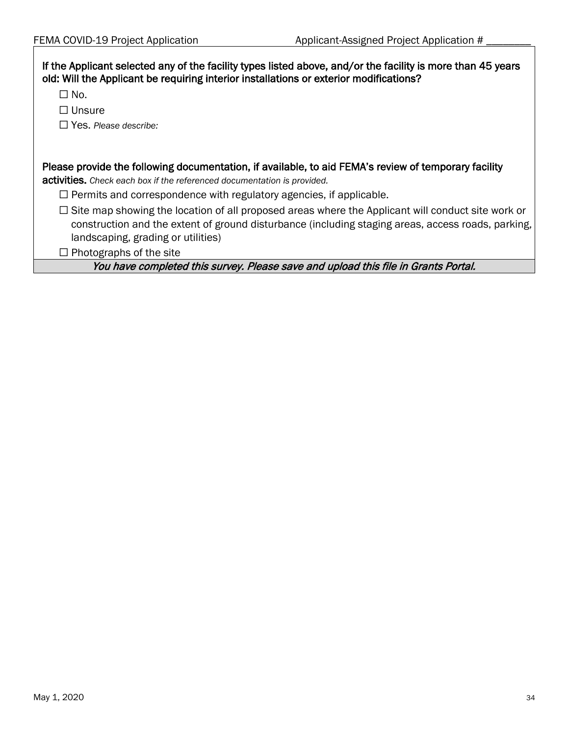| If the Applicant selected any of the facility types listed above, and/or the facility is more than 45 years<br>old: Will the Applicant be requiring interior installations or exterior modifications?                                                |  |  |  |  |  |  |  |
|------------------------------------------------------------------------------------------------------------------------------------------------------------------------------------------------------------------------------------------------------|--|--|--|--|--|--|--|
| $\Box$ No.                                                                                                                                                                                                                                           |  |  |  |  |  |  |  |
| $\Box$ Unsure                                                                                                                                                                                                                                        |  |  |  |  |  |  |  |
| $\Box$ Yes. Please describe:                                                                                                                                                                                                                         |  |  |  |  |  |  |  |
|                                                                                                                                                                                                                                                      |  |  |  |  |  |  |  |
| Please provide the following documentation, if available, to aid FEMA's review of temporary facility<br>activities. Check each box if the referenced documentation is provided.                                                                      |  |  |  |  |  |  |  |
| $\Box$ Permits and correspondence with regulatory agencies, if applicable.                                                                                                                                                                           |  |  |  |  |  |  |  |
| $\Box$ Site map showing the location of all proposed areas where the Applicant will conduct site work or<br>construction and the extent of ground disturbance (including staging areas, access roads, parking,<br>landscaping, grading or utilities) |  |  |  |  |  |  |  |
| $\Box$ Photographs of the site                                                                                                                                                                                                                       |  |  |  |  |  |  |  |
| You have completed this survey. Please save and upload this file in Grants Portal.                                                                                                                                                                   |  |  |  |  |  |  |  |